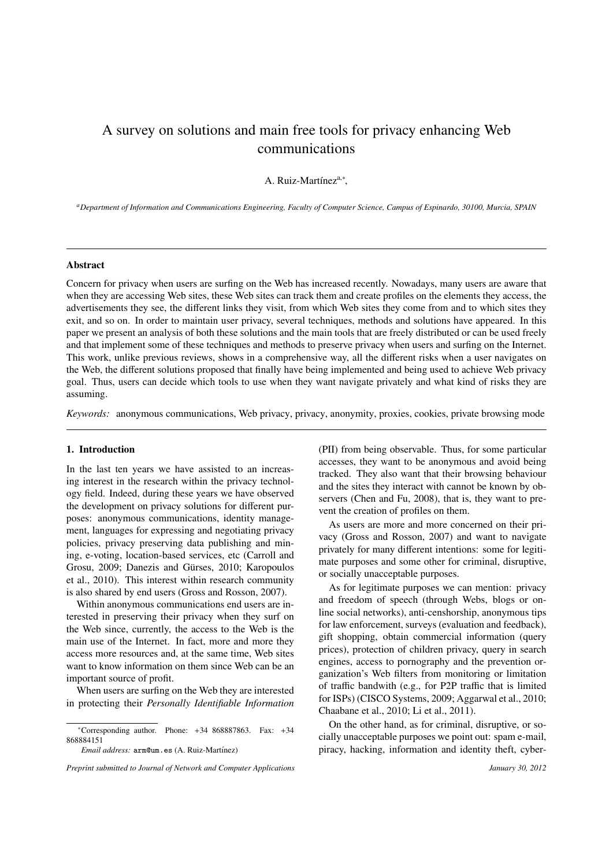# A survey on solutions and main free tools for privacy enhancing Web communications

A. Ruiz-Martínez<sup>a,\*</sup>,

*<sup>a</sup>Department of Information and Communications Engineering, Faculty of Computer Science, Campus of Espinardo, 30100, Murcia, SPAIN*

## Abstract

Concern for privacy when users are surfing on the Web has increased recently. Nowadays, many users are aware that when they are accessing Web sites, these Web sites can track them and create profiles on the elements they access, the advertisements they see, the different links they visit, from which Web sites they come from and to which sites they exit, and so on. In order to maintain user privacy, several techniques, methods and solutions have appeared. In this paper we present an analysis of both these solutions and the main tools that are freely distributed or can be used freely and that implement some of these techniques and methods to preserve privacy when users and surfing on the Internet. This work, unlike previous reviews, shows in a comprehensive way, all the different risks when a user navigates on the Web, the different solutions proposed that finally have being implemented and being used to achieve Web privacy goal. Thus, users can decide which tools to use when they want navigate privately and what kind of risks they are assuming.

*Keywords:* anonymous communications, Web privacy, privacy, anonymity, proxies, cookies, private browsing mode

# 1. Introduction

In the last ten years we have assisted to an increasing interest in the research within the privacy technology field. Indeed, during these years we have observed the development on privacy solutions for different purposes: anonymous communications, identity management, languages for expressing and negotiating privacy policies, privacy preserving data publishing and mining, e-voting, location-based services, etc (Carroll and Grosu, 2009; Danezis and Gürses, 2010; Karopoulos et al., 2010). This interest within research community is also shared by end users (Gross and Rosson, 2007).

Within anonymous communications end users are interested in preserving their privacy when they surf on the Web since, currently, the access to the Web is the main use of the Internet. In fact, more and more they access more resources and, at the same time, Web sites want to know information on them since Web can be an important source of profit.

When users are surfing on the Web they are interested in protecting their *Personally Identifiable Information*

(PII) from being observable. Thus, for some particular accesses, they want to be anonymous and avoid being tracked. They also want that their browsing behaviour and the sites they interact with cannot be known by observers (Chen and Fu, 2008), that is, they want to prevent the creation of profiles on them.

As users are more and more concerned on their privacy (Gross and Rosson, 2007) and want to navigate privately for many different intentions: some for legitimate purposes and some other for criminal, disruptive, or socially unacceptable purposes.

As for legitimate purposes we can mention: privacy and freedom of speech (through Webs, blogs or online social networks), anti-censhorship, anonymous tips for law enforcement, surveys (evaluation and feedback), gift shopping, obtain commercial information (query prices), protection of children privacy, query in search engines, access to pornography and the prevention organization's Web filters from monitoring or limitation of traffic bandwith (e.g., for P2P traffic that is limited for ISPs) (CISCO Systems, 2009; Aggarwal et al., 2010; Chaabane et al., 2010; Li et al., 2011).

On the other hand, as for criminal, disruptive, or socially unacceptable purposes we point out: spam e-mail, piracy, hacking, information and identity theft, cyber-

<sup>∗</sup>Corresponding author. Phone: +34 868887863. Fax: +34 868884151

*Email address:* arm@um.es (A. Ruiz-Martínez)

*Preprint submitted to Journal of Network and Computer Applications January 30, 2012*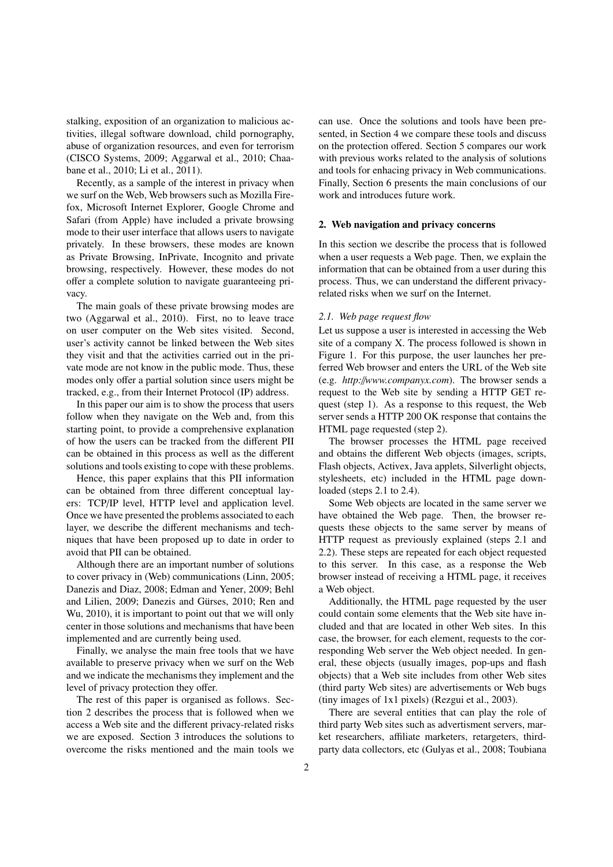stalking, exposition of an organization to malicious activities, illegal software download, child pornography, abuse of organization resources, and even for terrorism (CISCO Systems, 2009; Aggarwal et al., 2010; Chaabane et al., 2010; Li et al., 2011).

Recently, as a sample of the interest in privacy when we surf on the Web, Web browsers such as Mozilla Firefox, Microsoft Internet Explorer, Google Chrome and Safari (from Apple) have included a private browsing mode to their user interface that allows users to navigate privately. In these browsers, these modes are known as Private Browsing, InPrivate, Incognito and private browsing, respectively. However, these modes do not offer a complete solution to navigate guaranteeing privacy.

The main goals of these private browsing modes are two (Aggarwal et al., 2010). First, no to leave trace on user computer on the Web sites visited. Second, user's activity cannot be linked between the Web sites they visit and that the activities carried out in the private mode are not know in the public mode. Thus, these modes only offer a partial solution since users might be tracked, e.g., from their Internet Protocol (IP) address.

In this paper our aim is to show the process that users follow when they navigate on the Web and, from this starting point, to provide a comprehensive explanation of how the users can be tracked from the different PII can be obtained in this process as well as the different solutions and tools existing to cope with these problems.

Hence, this paper explains that this PII information can be obtained from three different conceptual layers: TCP/IP level, HTTP level and application level. Once we have presented the problems associated to each layer, we describe the different mechanisms and techniques that have been proposed up to date in order to avoid that PII can be obtained.

Although there are an important number of solutions to cover privacy in (Web) communications (Linn, 2005; Danezis and Diaz, 2008; Edman and Yener, 2009; Behl and Lilien, 2009; Danezis and Gürses, 2010; Ren and Wu, 2010), it is important to point out that we will only center in those solutions and mechanisms that have been implemented and are currently being used.

Finally, we analyse the main free tools that we have available to preserve privacy when we surf on the Web and we indicate the mechanisms they implement and the level of privacy protection they offer.

The rest of this paper is organised as follows. Section 2 describes the process that is followed when we access a Web site and the different privacy-related risks we are exposed. Section 3 introduces the solutions to overcome the risks mentioned and the main tools we can use. Once the solutions and tools have been presented, in Section 4 we compare these tools and discuss on the protection offered. Section 5 compares our work with previous works related to the analysis of solutions and tools for enhacing privacy in Web communications. Finally, Section 6 presents the main conclusions of our work and introduces future work.

#### 2. Web navigation and privacy concerns

In this section we describe the process that is followed when a user requests a Web page. Then, we explain the information that can be obtained from a user during this process. Thus, we can understand the different privacyrelated risks when we surf on the Internet.

#### *2.1. Web page request flow*

Let us suppose a user is interested in accessing the Web site of a company X. The process followed is shown in Figure 1. For this purpose, the user launches her preferred Web browser and enters the URL of the Web site (e.g. *http:*//*www.companyx.com*). The browser sends a request to the Web site by sending a HTTP GET request (step 1). As a response to this request, the Web server sends a HTTP 200 OK response that contains the HTML page requested (step 2).

The browser processes the HTML page received and obtains the different Web objects (images, scripts, Flash objects, Activex, Java applets, Silverlight objects, stylesheets, etc) included in the HTML page downloaded (steps 2.1 to 2.4).

Some Web objects are located in the same server we have obtained the Web page. Then, the browser requests these objects to the same server by means of HTTP request as previously explained (steps 2.1 and 2.2). These steps are repeated for each object requested to this server. In this case, as a response the Web browser instead of receiving a HTML page, it receives a Web object.

Additionally, the HTML page requested by the user could contain some elements that the Web site have included and that are located in other Web sites. In this case, the browser, for each element, requests to the corresponding Web server the Web object needed. In general, these objects (usually images, pop-ups and flash objects) that a Web site includes from other Web sites (third party Web sites) are advertisements or Web bugs (tiny images of 1x1 pixels) (Rezgui et al., 2003).

There are several entities that can play the role of third party Web sites such as advertisment servers, market researchers, affiliate marketers, retargeters, thirdparty data collectors, etc (Gulyas et al., 2008; Toubiana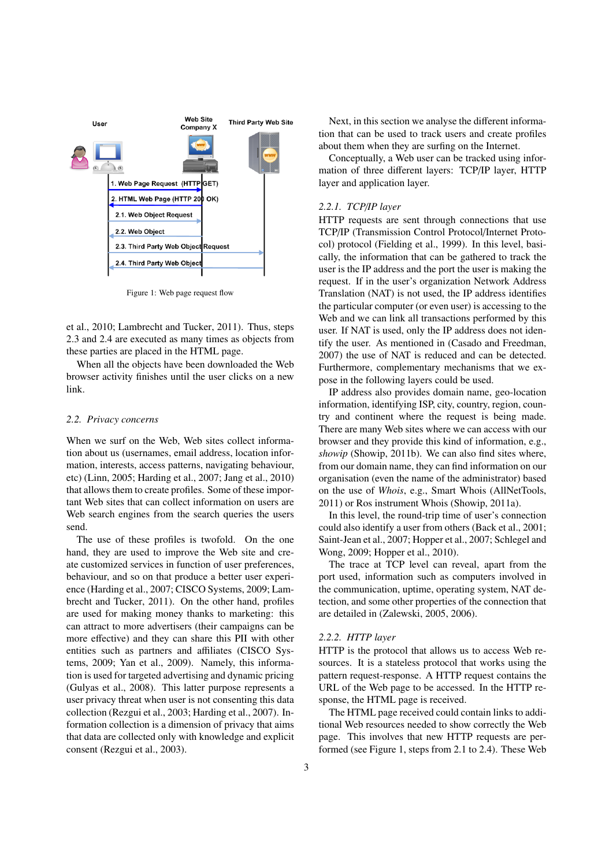

Figure 1: Web page request flow

et al., 2010; Lambrecht and Tucker, 2011). Thus, steps 2.3 and 2.4 are executed as many times as objects from these parties are placed in the HTML page.

When all the objects have been downloaded the Web browser activity finishes until the user clicks on a new link.

#### *2.2. Privacy concerns*

When we surf on the Web, Web sites collect information about us (usernames, email address, location information, interests, access patterns, navigating behaviour, etc) (Linn, 2005; Harding et al., 2007; Jang et al., 2010) that allows them to create profiles. Some of these important Web sites that can collect information on users are Web search engines from the search queries the users send.

The use of these profiles is twofold. On the one hand, they are used to improve the Web site and create customized services in function of user preferences, behaviour, and so on that produce a better user experience (Harding et al., 2007; CISCO Systems, 2009; Lambrecht and Tucker, 2011). On the other hand, profiles are used for making money thanks to marketing: this can attract to more advertisers (their campaigns can be more effective) and they can share this PII with other entities such as partners and affiliates (CISCO Systems, 2009; Yan et al., 2009). Namely, this information is used for targeted advertising and dynamic pricing (Gulyas et al., 2008). This latter purpose represents a user privacy threat when user is not consenting this data collection (Rezgui et al., 2003; Harding et al., 2007). Information collection is a dimension of privacy that aims that data are collected only with knowledge and explicit consent (Rezgui et al., 2003).

Next, in this section we analyse the different information that can be used to track users and create profiles about them when they are surfing on the Internet.

Conceptually, a Web user can be tracked using information of three different layers: TCP/IP layer, HTTP layer and application layer.

## *2.2.1. TCP*/*IP layer*

HTTP requests are sent through connections that use TCP/IP (Transmission Control Protocol/Internet Protocol) protocol (Fielding et al., 1999). In this level, basically, the information that can be gathered to track the user is the IP address and the port the user is making the request. If in the user's organization Network Address Translation (NAT) is not used, the IP address identifies the particular computer (or even user) is accessing to the Web and we can link all transactions performed by this user. If NAT is used, only the IP address does not identify the user. As mentioned in (Casado and Freedman, 2007) the use of NAT is reduced and can be detected. Furthermore, complementary mechanisms that we expose in the following layers could be used.

IP address also provides domain name, geo-location information, identifying ISP, city, country, region, country and continent where the request is being made. There are many Web sites where we can access with our browser and they provide this kind of information, e.g., *showip* (Showip, 2011b). We can also find sites where, from our domain name, they can find information on our organisation (even the name of the administrator) based on the use of *Whois*, e.g., Smart Whois (AllNetTools, 2011) or Ros instrument Whois (Showip, 2011a).

In this level, the round-trip time of user's connection could also identify a user from others (Back et al., 2001; Saint-Jean et al., 2007; Hopper et al., 2007; Schlegel and Wong, 2009; Hopper et al., 2010).

The trace at TCP level can reveal, apart from the port used, information such as computers involved in the communication, uptime, operating system, NAT detection, and some other properties of the connection that are detailed in (Zalewski, 2005, 2006).

#### *2.2.2. HTTP layer*

HTTP is the protocol that allows us to access Web resources. It is a stateless protocol that works using the pattern request-response. A HTTP request contains the URL of the Web page to be accessed. In the HTTP response, the HTML page is received.

The HTML page received could contain links to additional Web resources needed to show correctly the Web page. This involves that new HTTP requests are performed (see Figure 1, steps from 2.1 to 2.4). These Web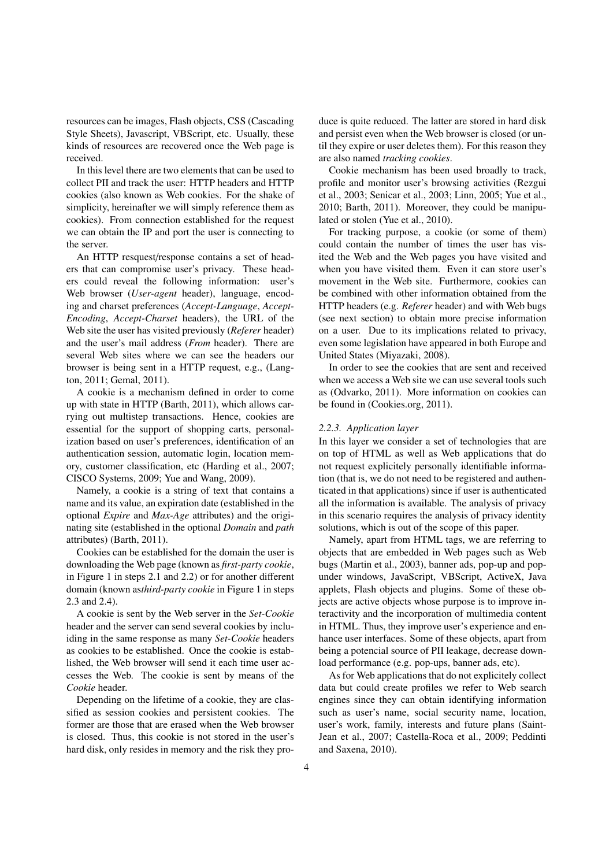resources can be images, Flash objects, CSS (Cascading Style Sheets), Javascript, VBScript, etc. Usually, these kinds of resources are recovered once the Web page is received.

In this level there are two elements that can be used to collect PII and track the user: HTTP headers and HTTP cookies (also known as Web cookies. For the shake of simplicity, hereinafter we will simply reference them as cookies). From connection established for the request we can obtain the IP and port the user is connecting to the server.

An HTTP resquest/response contains a set of headers that can compromise user's privacy. These headers could reveal the following information: user's Web browser (*User-agent* header), language, encoding and charset preferences (*Accept-Language*, *Accept-Encoding*, *Accept-Charset* headers), the URL of the Web site the user has visited previously (*Referer* header) and the user's mail address (*From* header). There are several Web sites where we can see the headers our browser is being sent in a HTTP request, e.g., (Langton, 2011; Gemal, 2011).

A cookie is a mechanism defined in order to come up with state in HTTP (Barth, 2011), which allows carrying out multistep transactions. Hence, cookies are essential for the support of shopping carts, personalization based on user's preferences, identification of an authentication session, automatic login, location memory, customer classification, etc (Harding et al., 2007; CISCO Systems, 2009; Yue and Wang, 2009).

Namely, a cookie is a string of text that contains a name and its value, an expiration date (established in the optional *Expire* and *Max-Age* attributes) and the originating site (established in the optional *Domain* and *path* attributes) (Barth, 2011).

Cookies can be established for the domain the user is downloading the Web page (known as *first-party cookie*, in Figure 1 in steps 2.1 and 2.2) or for another different domain (known as*third-party cookie* in Figure 1 in steps 2.3 and 2.4).

A cookie is sent by the Web server in the *Set-Cookie* header and the server can send several cookies by incluiding in the same response as many *Set-Cookie* headers as cookies to be established. Once the cookie is established, the Web browser will send it each time user accesses the Web. The cookie is sent by means of the *Cookie* header.

Depending on the lifetime of a cookie, they are classified as session cookies and persistent cookies. The former are those that are erased when the Web browser is closed. Thus, this cookie is not stored in the user's hard disk, only resides in memory and the risk they produce is quite reduced. The latter are stored in hard disk and persist even when the Web browser is closed (or until they expire or user deletes them). For this reason they are also named *tracking cookies*.

Cookie mechanism has been used broadly to track, profile and monitor user's browsing activities (Rezgui et al., 2003; Senicar et al., 2003; Linn, 2005; Yue et al., 2010; Barth, 2011). Moreover, they could be manipulated or stolen (Yue et al., 2010).

For tracking purpose, a cookie (or some of them) could contain the number of times the user has visited the Web and the Web pages you have visited and when you have visited them. Even it can store user's movement in the Web site. Furthermore, cookies can be combined with other information obtained from the HTTP headers (e.g. *Referer* header) and with Web bugs (see next section) to obtain more precise information on a user. Due to its implications related to privacy, even some legislation have appeared in both Europe and United States (Miyazaki, 2008).

In order to see the cookies that are sent and received when we access a Web site we can use several tools such as (Odvarko, 2011). More information on cookies can be found in (Cookies.org, 2011).

## *2.2.3. Application layer*

In this layer we consider a set of technologies that are on top of HTML as well as Web applications that do not request explicitely personally identifiable information (that is, we do not need to be registered and authenticated in that applications) since if user is authenticated all the information is available. The analysis of privacy in this scenario requires the analysis of privacy identity solutions, which is out of the scope of this paper.

Namely, apart from HTML tags, we are referring to objects that are embedded in Web pages such as Web bugs (Martin et al., 2003), banner ads, pop-up and popunder windows, JavaScript, VBScript, ActiveX, Java applets, Flash objects and plugins. Some of these objects are active objects whose purpose is to improve interactivity and the incorporation of multimedia content in HTML. Thus, they improve user's experience and enhance user interfaces. Some of these objects, apart from being a potencial source of PII leakage, decrease download performance (e.g. pop-ups, banner ads, etc).

As for Web applications that do not explicitely collect data but could create profiles we refer to Web search engines since they can obtain identifying information such as user's name, social security name, location, user's work, family, interests and future plans (Saint-Jean et al., 2007; Castella-Roca et al., 2009; Peddinti and Saxena, 2010).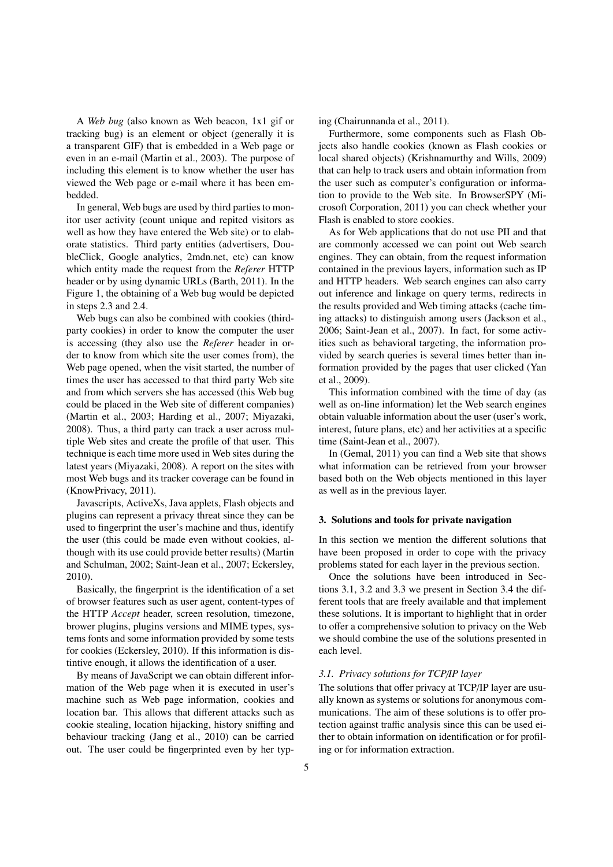A *Web bug* (also known as Web beacon, 1x1 gif or tracking bug) is an element or object (generally it is a transparent GIF) that is embedded in a Web page or even in an e-mail (Martin et al., 2003). The purpose of including this element is to know whether the user has viewed the Web page or e-mail where it has been embedded.

In general, Web bugs are used by third parties to monitor user activity (count unique and repited visitors as well as how they have entered the Web site) or to elaborate statistics. Third party entities (advertisers, DoubleClick, Google analytics, 2mdn.net, etc) can know which entity made the request from the *Referer* HTTP header or by using dynamic URLs (Barth, 2011). In the Figure 1, the obtaining of a Web bug would be depicted in steps 2.3 and 2.4.

Web bugs can also be combined with cookies (thirdparty cookies) in order to know the computer the user is accessing (they also use the *Referer* header in order to know from which site the user comes from), the Web page opened, when the visit started, the number of times the user has accessed to that third party Web site and from which servers she has accessed (this Web bug could be placed in the Web site of different companies) (Martin et al., 2003; Harding et al., 2007; Miyazaki, 2008). Thus, a third party can track a user across multiple Web sites and create the profile of that user. This technique is each time more used in Web sites during the latest years (Miyazaki, 2008). A report on the sites with most Web bugs and its tracker coverage can be found in (KnowPrivacy, 2011).

Javascripts, ActiveXs, Java applets, Flash objects and plugins can represent a privacy threat since they can be used to fingerprint the user's machine and thus, identify the user (this could be made even without cookies, although with its use could provide better results) (Martin and Schulman, 2002; Saint-Jean et al., 2007; Eckersley, 2010).

Basically, the fingerprint is the identification of a set of browser features such as user agent, content-types of the HTTP *Accept* header, screen resolution, timezone, brower plugins, plugins versions and MIME types, systems fonts and some information provided by some tests for cookies (Eckersley, 2010). If this information is distintive enough, it allows the identification of a user.

By means of JavaScript we can obtain different information of the Web page when it is executed in user's machine such as Web page information, cookies and location bar. This allows that different attacks such as cookie stealing, location hijacking, history sniffing and behaviour tracking (Jang et al., 2010) can be carried out. The user could be fingerprinted even by her typing (Chairunnanda et al., 2011).

Furthermore, some components such as Flash Objects also handle cookies (known as Flash cookies or local shared objects) (Krishnamurthy and Wills, 2009) that can help to track users and obtain information from the user such as computer's configuration or information to provide to the Web site. In BrowserSPY (Microsoft Corporation, 2011) you can check whether your Flash is enabled to store cookies.

As for Web applications that do not use PII and that are commonly accessed we can point out Web search engines. They can obtain, from the request information contained in the previous layers, information such as IP and HTTP headers. Web search engines can also carry out inference and linkage on query terms, redirects in the results provided and Web timing attacks (cache timing attacks) to distinguish among users (Jackson et al., 2006; Saint-Jean et al., 2007). In fact, for some activities such as behavioral targeting, the information provided by search queries is several times better than information provided by the pages that user clicked (Yan et al., 2009).

This information combined with the time of day (as well as on-line information) let the Web search engines obtain valuable information about the user (user's work, interest, future plans, etc) and her activities at a specific time (Saint-Jean et al., 2007).

In (Gemal, 2011) you can find a Web site that shows what information can be retrieved from your browser based both on the Web objects mentioned in this layer as well as in the previous layer.

## 3. Solutions and tools for private navigation

In this section we mention the different solutions that have been proposed in order to cope with the privacy problems stated for each layer in the previous section.

Once the solutions have been introduced in Sections 3.1, 3.2 and 3.3 we present in Section 3.4 the different tools that are freely available and that implement these solutions. It is important to highlight that in order to offer a comprehensive solution to privacy on the Web we should combine the use of the solutions presented in each level.

## *3.1. Privacy solutions for TCP*/*IP layer*

The solutions that offer privacy at TCP/IP layer are usually known as systems or solutions for anonymous communications. The aim of these solutions is to offer protection against traffic analysis since this can be used either to obtain information on identification or for profiling or for information extraction.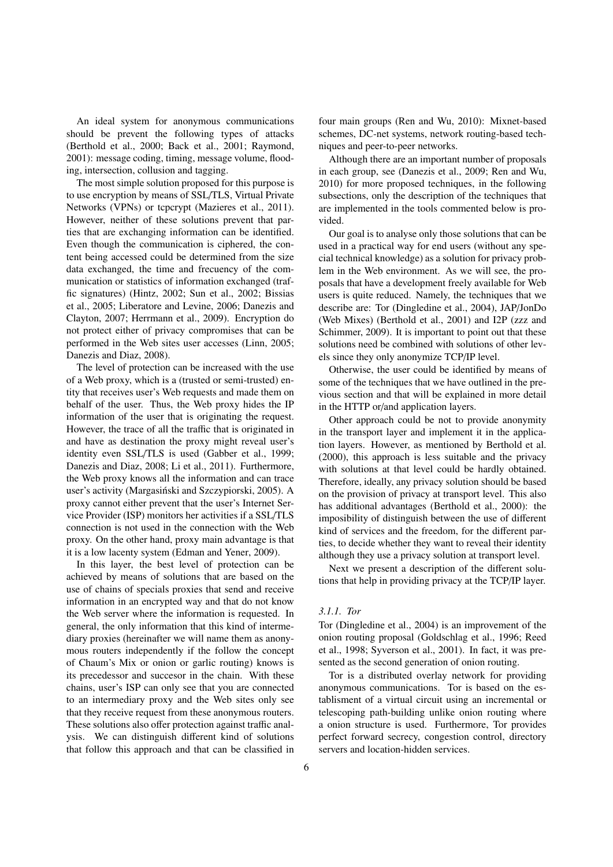An ideal system for anonymous communications should be prevent the following types of attacks (Berthold et al., 2000; Back et al., 2001; Raymond, 2001): message coding, timing, message volume, flooding, intersection, collusion and tagging.

The most simple solution proposed for this purpose is to use encryption by means of SSL/TLS, Virtual Private Networks (VPNs) or tcpcrypt (Mazieres et al., 2011). However, neither of these solutions prevent that parties that are exchanging information can be identified. Even though the communication is ciphered, the content being accessed could be determined from the size data exchanged, the time and frecuency of the communication or statistics of information exchanged (traffic signatures) (Hintz, 2002; Sun et al., 2002; Bissias et al., 2005; Liberatore and Levine, 2006; Danezis and Clayton, 2007; Herrmann et al., 2009). Encryption do not protect either of privacy compromises that can be performed in the Web sites user accesses (Linn, 2005; Danezis and Diaz, 2008).

The level of protection can be increased with the use of a Web proxy, which is a (trusted or semi-trusted) entity that receives user's Web requests and made them on behalf of the user. Thus, the Web proxy hides the IP information of the user that is originating the request. However, the trace of all the traffic that is originated in and have as destination the proxy might reveal user's identity even SSL/TLS is used (Gabber et al., 1999; Danezis and Diaz, 2008; Li et al., 2011). Furthermore, the Web proxy knows all the information and can trace user's activity (Margasinski and Szczypiorski, 2005). A ´ proxy cannot either prevent that the user's Internet Service Provider (ISP) monitors her activities if a SSL/TLS connection is not used in the connection with the Web proxy. On the other hand, proxy main advantage is that it is a low lacenty system (Edman and Yener, 2009).

In this layer, the best level of protection can be achieved by means of solutions that are based on the use of chains of specials proxies that send and receive information in an encrypted way and that do not know the Web server where the information is requested. In general, the only information that this kind of intermediary proxies (hereinafter we will name them as anonymous routers independently if the follow the concept of Chaum's Mix or onion or garlic routing) knows is its precedessor and succesor in the chain. With these chains, user's ISP can only see that you are connected to an intermediary proxy and the Web sites only see that they receive request from these anonymous routers. These solutions also offer protection against traffic analysis. We can distinguish different kind of solutions that follow this approach and that can be classified in

four main groups (Ren and Wu, 2010): Mixnet-based schemes, DC-net systems, network routing-based techniques and peer-to-peer networks.

Although there are an important number of proposals in each group, see (Danezis et al., 2009; Ren and Wu, 2010) for more proposed techniques, in the following subsections, only the description of the techniques that are implemented in the tools commented below is provided.

Our goal is to analyse only those solutions that can be used in a practical way for end users (without any special technical knowledge) as a solution for privacy problem in the Web environment. As we will see, the proposals that have a development freely available for Web users is quite reduced. Namely, the techniques that we describe are: Tor (Dingledine et al., 2004), JAP/JonDo (Web Mixes) (Berthold et al., 2001) and I2P (zzz and Schimmer, 2009). It is important to point out that these solutions need be combined with solutions of other levels since they only anonymize TCP/IP level.

Otherwise, the user could be identified by means of some of the techniques that we have outlined in the previous section and that will be explained in more detail in the HTTP or/and application layers.

Other approach could be not to provide anonymity in the transport layer and implement it in the application layers. However, as mentioned by Berthold et al. (2000), this approach is less suitable and the privacy with solutions at that level could be hardly obtained. Therefore, ideally, any privacy solution should be based on the provision of privacy at transport level. This also has additional advantages (Berthold et al., 2000): the imposibility of distinguish between the use of different kind of services and the freedom, for the different parties, to decide whether they want to reveal their identity although they use a privacy solution at transport level.

Next we present a description of the different solutions that help in providing privacy at the TCP/IP layer.

#### *3.1.1. Tor*

Tor (Dingledine et al., 2004) is an improvement of the onion routing proposal (Goldschlag et al., 1996; Reed et al., 1998; Syverson et al., 2001). In fact, it was presented as the second generation of onion routing.

Tor is a distributed overlay network for providing anonymous communications. Tor is based on the establisment of a virtual circuit using an incremental or telescoping path-building unlike onion routing where a onion structure is used. Furthermore, Tor provides perfect forward secrecy, congestion control, directory servers and location-hidden services.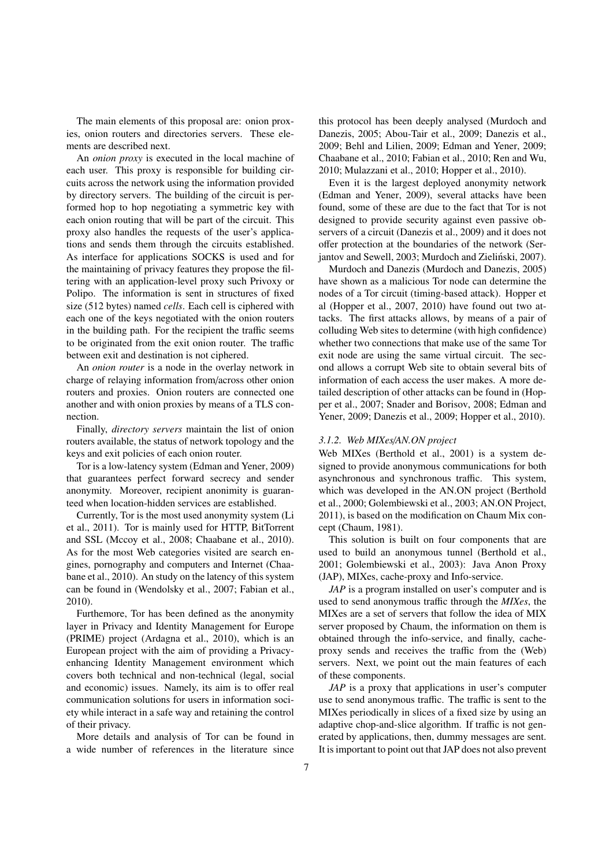The main elements of this proposal are: onion proxies, onion routers and directories servers. These elements are described next.

An *onion proxy* is executed in the local machine of each user. This proxy is responsible for building circuits across the network using the information provided by directory servers. The building of the circuit is performed hop to hop negotiating a symmetric key with each onion routing that will be part of the circuit. This proxy also handles the requests of the user's applications and sends them through the circuits established. As interface for applications SOCKS is used and for the maintaining of privacy features they propose the filtering with an application-level proxy such Privoxy or Polipo. The information is sent in structures of fixed size (512 bytes) named *cells*. Each cell is ciphered with each one of the keys negotiated with the onion routers in the building path. For the recipient the traffic seems to be originated from the exit onion router. The traffic between exit and destination is not ciphered.

An *onion router* is a node in the overlay network in charge of relaying information from/across other onion routers and proxies. Onion routers are connected one another and with onion proxies by means of a TLS connection.

Finally, *directory servers* maintain the list of onion routers available, the status of network topology and the keys and exit policies of each onion router.

Tor is a low-latency system (Edman and Yener, 2009) that guarantees perfect forward secrecy and sender anonymity. Moreover, recipient anonimity is guaranteed when location-hidden services are established.

Currently, Tor is the most used anonymity system (Li et al., 2011). Tor is mainly used for HTTP, BitTorrent and SSL (Mccoy et al., 2008; Chaabane et al., 2010). As for the most Web categories visited are search engines, pornography and computers and Internet (Chaabane et al., 2010). An study on the latency of this system can be found in (Wendolsky et al., 2007; Fabian et al., 2010).

Furthemore, Tor has been defined as the anonymity layer in Privacy and Identity Management for Europe (PRIME) project (Ardagna et al., 2010), which is an European project with the aim of providing a Privacyenhancing Identity Management environment which covers both technical and non-technical (legal, social and economic) issues. Namely, its aim is to offer real communication solutions for users in information society while interact in a safe way and retaining the control of their privacy.

More details and analysis of Tor can be found in a wide number of references in the literature since

this protocol has been deeply analysed (Murdoch and Danezis, 2005; Abou-Tair et al., 2009; Danezis et al., 2009; Behl and Lilien, 2009; Edman and Yener, 2009; Chaabane et al., 2010; Fabian et al., 2010; Ren and Wu, 2010; Mulazzani et al., 2010; Hopper et al., 2010).

Even it is the largest deployed anonymity network (Edman and Yener, 2009), several attacks have been found, some of these are due to the fact that Tor is not designed to provide security against even passive observers of a circuit (Danezis et al., 2009) and it does not offer protection at the boundaries of the network (Serjantov and Sewell, 2003; Murdoch and Zieliński, 2007).

Murdoch and Danezis (Murdoch and Danezis, 2005) have shown as a malicious Tor node can determine the nodes of a Tor circuit (timing-based attack). Hopper et al (Hopper et al., 2007, 2010) have found out two attacks. The first attacks allows, by means of a pair of colluding Web sites to determine (with high confidence) whether two connections that make use of the same Tor exit node are using the same virtual circuit. The second allows a corrupt Web site to obtain several bits of information of each access the user makes. A more detailed description of other attacks can be found in (Hopper et al., 2007; Snader and Borisov, 2008; Edman and Yener, 2009; Danezis et al., 2009; Hopper et al., 2010).

#### *3.1.2. Web MIXes*/*AN.ON project*

Web MIXes (Berthold et al., 2001) is a system designed to provide anonymous communications for both asynchronous and synchronous traffic. This system, which was developed in the AN.ON project (Berthold et al., 2000; Golembiewski et al., 2003; AN.ON Project, 2011), is based on the modification on Chaum Mix concept (Chaum, 1981).

This solution is built on four components that are used to build an anonymous tunnel (Berthold et al., 2001; Golembiewski et al., 2003): Java Anon Proxy (JAP), MIXes, cache-proxy and Info-service.

*JAP* is a program installed on user's computer and is used to send anonymous traffic through the *MIXes*, the MIXes are a set of servers that follow the idea of MIX server proposed by Chaum, the information on them is obtained through the info-service, and finally, cacheproxy sends and receives the traffic from the (Web) servers. Next, we point out the main features of each of these components.

*JAP* is a proxy that applications in user's computer use to send anonymous traffic. The traffic is sent to the MIXes periodically in slices of a fixed size by using an adaptive chop-and-slice algorithm. If traffic is not generated by applications, then, dummy messages are sent. It is important to point out that JAP does not also prevent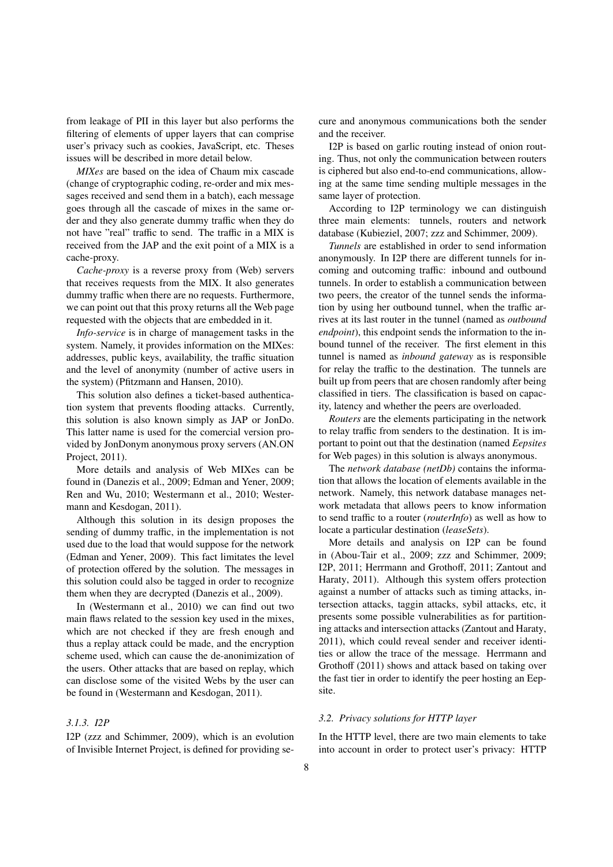from leakage of PII in this layer but also performs the filtering of elements of upper layers that can comprise user's privacy such as cookies, JavaScript, etc. Theses issues will be described in more detail below.

*MIXes* are based on the idea of Chaum mix cascade (change of cryptographic coding, re-order and mix messages received and send them in a batch), each message goes through all the cascade of mixes in the same order and they also generate dummy traffic when they do not have "real" traffic to send. The traffic in a MIX is received from the JAP and the exit point of a MIX is a cache-proxy.

*Cache-proxy* is a reverse proxy from (Web) servers that receives requests from the MIX. It also generates dummy traffic when there are no requests. Furthermore, we can point out that this proxy returns all the Web page requested with the objects that are embedded in it.

*Info-service* is in charge of management tasks in the system. Namely, it provides information on the MIXes: addresses, public keys, availability, the traffic situation and the level of anonymity (number of active users in the system) (Pfitzmann and Hansen, 2010).

This solution also defines a ticket-based authentication system that prevents flooding attacks. Currently, this solution is also known simply as JAP or JonDo. This latter name is used for the comercial version provided by JonDonym anonymous proxy servers (AN.ON Project, 2011).

More details and analysis of Web MIXes can be found in (Danezis et al., 2009; Edman and Yener, 2009; Ren and Wu, 2010; Westermann et al., 2010; Westermann and Kesdogan, 2011).

Although this solution in its design proposes the sending of dummy traffic, in the implementation is not used due to the load that would suppose for the network (Edman and Yener, 2009). This fact limitates the level of protection offered by the solution. The messages in this solution could also be tagged in order to recognize them when they are decrypted (Danezis et al., 2009).

In (Westermann et al., 2010) we can find out two main flaws related to the session key used in the mixes, which are not checked if they are fresh enough and thus a replay attack could be made, and the encryption scheme used, which can cause the de-anonimization of the users. Other attacks that are based on replay, which can disclose some of the visited Webs by the user can be found in (Westermann and Kesdogan, 2011).

## *3.1.3. I2P*

I2P (zzz and Schimmer, 2009), which is an evolution of Invisible Internet Project, is defined for providing secure and anonymous communications both the sender and the receiver.

I2P is based on garlic routing instead of onion routing. Thus, not only the communication between routers is ciphered but also end-to-end communications, allowing at the same time sending multiple messages in the same layer of protection.

According to I2P terminology we can distinguish three main elements: tunnels, routers and network database (Kubieziel, 2007; zzz and Schimmer, 2009).

*Tunnels* are established in order to send information anonymously. In I2P there are different tunnels for incoming and outcoming traffic: inbound and outbound tunnels. In order to establish a communication between two peers, the creator of the tunnel sends the information by using her outbound tunnel, when the traffic arrives at its last router in the tunnel (named as *outbound endpoint*), this endpoint sends the information to the inbound tunnel of the receiver. The first element in this tunnel is named as *inbound gateway* as is responsible for relay the traffic to the destination. The tunnels are built up from peers that are chosen randomly after being classified in tiers. The classification is based on capacity, latency and whether the peers are overloaded.

*Routers* are the elements participating in the network to relay traffic from senders to the destination. It is important to point out that the destination (named *Eepsites* for Web pages) in this solution is always anonymous.

The *network database (netDb)* contains the information that allows the location of elements available in the network. Namely, this network database manages network metadata that allows peers to know information to send traffic to a router (*routerInfo*) as well as how to locate a particular destination (*leaseSets*).

More details and analysis on I2P can be found in (Abou-Tair et al., 2009; zzz and Schimmer, 2009; I2P, 2011; Herrmann and Grothoff, 2011; Zantout and Haraty, 2011). Although this system offers protection against a number of attacks such as timing attacks, intersection attacks, taggin attacks, sybil attacks, etc, it presents some possible vulnerabilities as for partitioning attacks and intersection attacks (Zantout and Haraty, 2011), which could reveal sender and receiver identities or allow the trace of the message. Herrmann and Grothoff (2011) shows and attack based on taking over the fast tier in order to identify the peer hosting an Eepsite.

# *3.2. Privacy solutions for HTTP layer*

In the HTTP level, there are two main elements to take into account in order to protect user's privacy: HTTP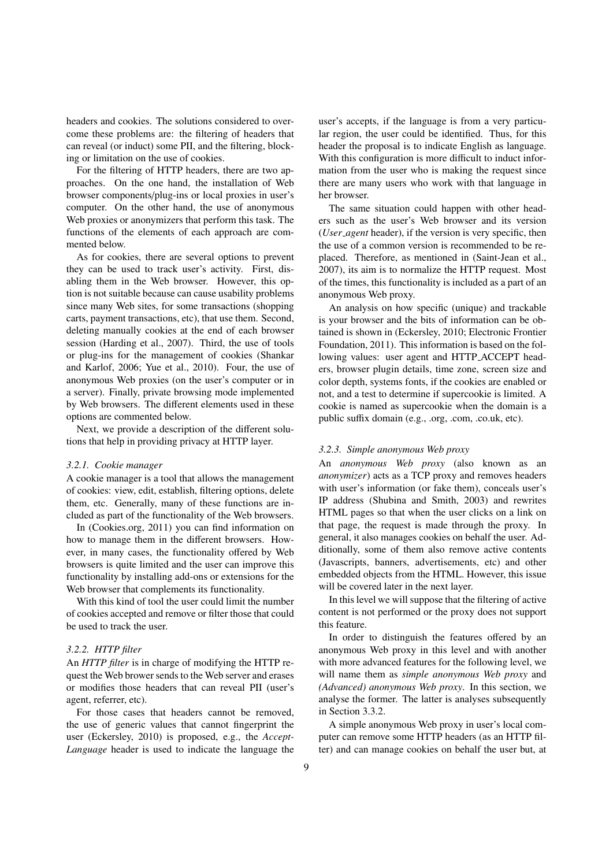headers and cookies. The solutions considered to overcome these problems are: the filtering of headers that can reveal (or induct) some PII, and the filtering, blocking or limitation on the use of cookies.

For the filtering of HTTP headers, there are two approaches. On the one hand, the installation of Web browser components/plug-ins or local proxies in user's computer. On the other hand, the use of anonymous Web proxies or anonymizers that perform this task. The functions of the elements of each approach are commented below.

As for cookies, there are several options to prevent they can be used to track user's activity. First, disabling them in the Web browser. However, this option is not suitable because can cause usability problems since many Web sites, for some transactions (shopping carts, payment transactions, etc), that use them. Second, deleting manually cookies at the end of each browser session (Harding et al., 2007). Third, the use of tools or plug-ins for the management of cookies (Shankar and Karlof, 2006; Yue et al., 2010). Four, the use of anonymous Web proxies (on the user's computer or in a server). Finally, private browsing mode implemented by Web browsers. The different elements used in these options are commented below.

Next, we provide a description of the different solutions that help in providing privacy at HTTP layer.

#### *3.2.1. Cookie manager*

A cookie manager is a tool that allows the management of cookies: view, edit, establish, filtering options, delete them, etc. Generally, many of these functions are included as part of the functionality of the Web browsers.

In (Cookies.org, 2011) you can find information on how to manage them in the different browsers. However, in many cases, the functionality offered by Web browsers is quite limited and the user can improve this functionality by installing add-ons or extensions for the Web browser that complements its functionality.

With this kind of tool the user could limit the number of cookies accepted and remove or filter those that could be used to track the user.

## *3.2.2. HTTP filter*

An *HTTP filter* is in charge of modifying the HTTP request the Web brower sends to the Web server and erases or modifies those headers that can reveal PII (user's agent, referrer, etc).

For those cases that headers cannot be removed, the use of generic values that cannot fingerprint the user (Eckersley, 2010) is proposed, e.g., the *Accept-Language* header is used to indicate the language the

user's accepts, if the language is from a very particular region, the user could be identified. Thus, for this header the proposal is to indicate English as language. With this configuration is more difficult to induct information from the user who is making the request since there are many users who work with that language in her browser.

The same situation could happen with other headers such as the user's Web browser and its version (*User agent* header), if the version is very specific, then the use of a common version is recommended to be replaced. Therefore, as mentioned in (Saint-Jean et al., 2007), its aim is to normalize the HTTP request. Most of the times, this functionality is included as a part of an anonymous Web proxy.

An analysis on how specific (unique) and trackable is your browser and the bits of information can be obtained is shown in (Eckersley, 2010; Electronic Frontier Foundation, 2011). This information is based on the following values: user agent and HTTP ACCEPT headers, browser plugin details, time zone, screen size and color depth, systems fonts, if the cookies are enabled or not, and a test to determine if supercookie is limited. A cookie is named as supercookie when the domain is a public suffix domain (e.g., .org, .com, .co.uk, etc).

## *3.2.3. Simple anonymous Web proxy*

An *anonymous Web proxy* (also known as an *anonymizer*) acts as a TCP proxy and removes headers with user's information (or fake them), conceals user's IP address (Shubina and Smith, 2003) and rewrites HTML pages so that when the user clicks on a link on that page, the request is made through the proxy. In general, it also manages cookies on behalf the user. Additionally, some of them also remove active contents (Javascripts, banners, advertisements, etc) and other embedded objects from the HTML. However, this issue will be covered later in the next layer.

In this level we will suppose that the filtering of active content is not performed or the proxy does not support this feature.

In order to distinguish the features offered by an anonymous Web proxy in this level and with another with more advanced features for the following level, we will name them as *simple anonymous Web proxy* and *(Advanced) anonymous Web proxy*. In this section, we analyse the former. The latter is analyses subsequently in Section 3.3.2.

A simple anonymous Web proxy in user's local computer can remove some HTTP headers (as an HTTP filter) and can manage cookies on behalf the user but, at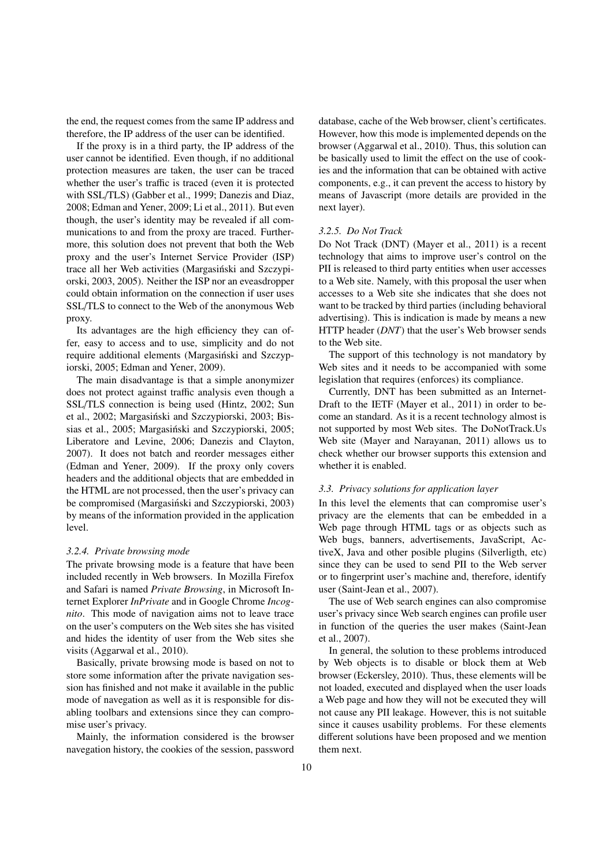the end, the request comes from the same IP address and therefore, the IP address of the user can be identified.

If the proxy is in a third party, the IP address of the user cannot be identified. Even though, if no additional protection measures are taken, the user can be traced whether the user's traffic is traced (even it is protected with SSL/TLS) (Gabber et al., 1999; Danezis and Diaz, 2008; Edman and Yener, 2009; Li et al., 2011). But even though, the user's identity may be revealed if all communications to and from the proxy are traced. Furthermore, this solution does not prevent that both the Web proxy and the user's Internet Service Provider (ISP) trace all her Web activities (Margasiński and Szczypiorski, 2003, 2005). Neither the ISP nor an eveasdropper could obtain information on the connection if user uses SSL/TLS to connect to the Web of the anonymous Web proxy.

Its advantages are the high efficiency they can offer, easy to access and to use, simplicity and do not require additional elements (Margasiński and Szczypiorski, 2005; Edman and Yener, 2009).

The main disadvantage is that a simple anonymizer does not protect against traffic analysis even though a SSL/TLS connection is being used (Hintz, 2002; Sun et al., 2002; Margasiński and Szczypiorski, 2003; Bissias et al., 2005; Margasiński and Szczypiorski, 2005; Liberatore and Levine, 2006; Danezis and Clayton, 2007). It does not batch and reorder messages either (Edman and Yener, 2009). If the proxy only covers headers and the additional objects that are embedded in the HTML are not processed, then the user's privacy can be compromised (Margasiński and Szczypiorski, 2003) by means of the information provided in the application level.

#### *3.2.4. Private browsing mode*

The private browsing mode is a feature that have been included recently in Web browsers. In Mozilla Firefox and Safari is named *Private Browsing*, in Microsoft Internet Explorer *InPrivate* and in Google Chrome *Incognito*. This mode of navigation aims not to leave trace on the user's computers on the Web sites she has visited and hides the identity of user from the Web sites she visits (Aggarwal et al., 2010).

Basically, private browsing mode is based on not to store some information after the private navigation session has finished and not make it available in the public mode of navegation as well as it is responsible for disabling toolbars and extensions since they can compromise user's privacy.

Mainly, the information considered is the browser navegation history, the cookies of the session, password database, cache of the Web browser, client's certificates. However, how this mode is implemented depends on the browser (Aggarwal et al., 2010). Thus, this solution can be basically used to limit the effect on the use of cookies and the information that can be obtained with active components, e.g., it can prevent the access to history by means of Javascript (more details are provided in the next layer).

## *3.2.5. Do Not Track*

Do Not Track (DNT) (Mayer et al., 2011) is a recent technology that aims to improve user's control on the PII is released to third party entities when user accesses to a Web site. Namely, with this proposal the user when accesses to a Web site she indicates that she does not want to be tracked by third parties (including behavioral advertising). This is indication is made by means a new HTTP header (*DNT*) that the user's Web browser sends to the Web site.

The support of this technology is not mandatory by Web sites and it needs to be accompanied with some legislation that requires (enforces) its compliance.

Currently, DNT has been submitted as an Internet-Draft to the IETF (Mayer et al., 2011) in order to become an standard. As it is a recent technology almost is not supported by most Web sites. The DoNotTrack.Us Web site (Mayer and Narayanan, 2011) allows us to check whether our browser supports this extension and whether it is enabled.

# *3.3. Privacy solutions for application layer*

In this level the elements that can compromise user's privacy are the elements that can be embedded in a Web page through HTML tags or as objects such as Web bugs, banners, advertisements, JavaScript, ActiveX, Java and other posible plugins (Silverligth, etc) since they can be used to send PII to the Web server or to fingerprint user's machine and, therefore, identify user (Saint-Jean et al., 2007).

The use of Web search engines can also compromise user's privacy since Web search engines can profile user in function of the queries the user makes (Saint-Jean et al., 2007).

In general, the solution to these problems introduced by Web objects is to disable or block them at Web browser (Eckersley, 2010). Thus, these elements will be not loaded, executed and displayed when the user loads a Web page and how they will not be executed they will not cause any PII leakage. However, this is not suitable since it causes usability problems. For these elements different solutions have been proposed and we mention them next.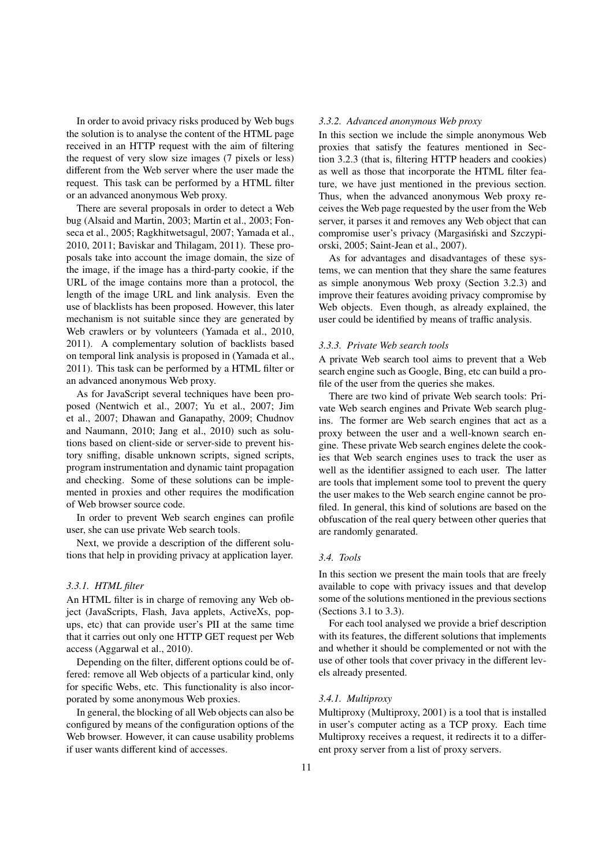In order to avoid privacy risks produced by Web bugs the solution is to analyse the content of the HTML page received in an HTTP request with the aim of filtering the request of very slow size images (7 pixels or less) different from the Web server where the user made the request. This task can be performed by a HTML filter or an advanced anonymous Web proxy.

There are several proposals in order to detect a Web bug (Alsaid and Martin, 2003; Martin et al., 2003; Fonseca et al., 2005; Ragkhitwetsagul, 2007; Yamada et al., 2010, 2011; Baviskar and Thilagam, 2011). These proposals take into account the image domain, the size of the image, if the image has a third-party cookie, if the URL of the image contains more than a protocol, the length of the image URL and link analysis. Even the use of blacklists has been proposed. However, this later mechanism is not suitable since they are generated by Web crawlers or by volunteers (Yamada et al., 2010, 2011). A complementary solution of backlists based on temporal link analysis is proposed in (Yamada et al., 2011). This task can be performed by a HTML filter or an advanced anonymous Web proxy.

As for JavaScript several techniques have been proposed (Nentwich et al., 2007; Yu et al., 2007; Jim et al., 2007; Dhawan and Ganapathy, 2009; Chudnov and Naumann, 2010; Jang et al., 2010) such as solutions based on client-side or server-side to prevent history sniffing, disable unknown scripts, signed scripts, program instrumentation and dynamic taint propagation and checking. Some of these solutions can be implemented in proxies and other requires the modification of Web browser source code.

In order to prevent Web search engines can profile user, she can use private Web search tools.

Next, we provide a description of the different solutions that help in providing privacy at application layer.

#### *3.3.1. HTML filter*

An HTML filter is in charge of removing any Web object (JavaScripts, Flash, Java applets, ActiveXs, popups, etc) that can provide user's PII at the same time that it carries out only one HTTP GET request per Web access (Aggarwal et al., 2010).

Depending on the filter, different options could be offered: remove all Web objects of a particular kind, only for specific Webs, etc. This functionality is also incorporated by some anonymous Web proxies.

In general, the blocking of all Web objects can also be configured by means of the configuration options of the Web browser. However, it can cause usability problems if user wants different kind of accesses.

## *3.3.2. Advanced anonymous Web proxy*

In this section we include the simple anonymous Web proxies that satisfy the features mentioned in Section 3.2.3 (that is, filtering HTTP headers and cookies) as well as those that incorporate the HTML filter feature, we have just mentioned in the previous section. Thus, when the advanced anonymous Web proxy receives the Web page requested by the user from the Web server, it parses it and removes any Web object that can compromise user's privacy (Margasiński and Szczypiorski, 2005; Saint-Jean et al., 2007).

As for advantages and disadvantages of these systems, we can mention that they share the same features as simple anonymous Web proxy (Section 3.2.3) and improve their features avoiding privacy compromise by Web objects. Even though, as already explained, the user could be identified by means of traffic analysis.

## *3.3.3. Private Web search tools*

A private Web search tool aims to prevent that a Web search engine such as Google, Bing, etc can build a profile of the user from the queries she makes.

There are two kind of private Web search tools: Private Web search engines and Private Web search plugins. The former are Web search engines that act as a proxy between the user and a well-known search engine. These private Web search engines delete the cookies that Web search engines uses to track the user as well as the identifier assigned to each user. The latter are tools that implement some tool to prevent the query the user makes to the Web search engine cannot be profiled. In general, this kind of solutions are based on the obfuscation of the real query between other queries that are randomly genarated.

## *3.4. Tools*

In this section we present the main tools that are freely available to cope with privacy issues and that develop some of the solutions mentioned in the previous sections (Sections 3.1 to 3.3).

For each tool analysed we provide a brief description with its features, the different solutions that implements and whether it should be complemented or not with the use of other tools that cover privacy in the different levels already presented.

## *3.4.1. Multiproxy*

Multiproxy (Multiproxy, 2001) is a tool that is installed in user's computer acting as a TCP proxy. Each time Multiproxy receives a request, it redirects it to a different proxy server from a list of proxy servers.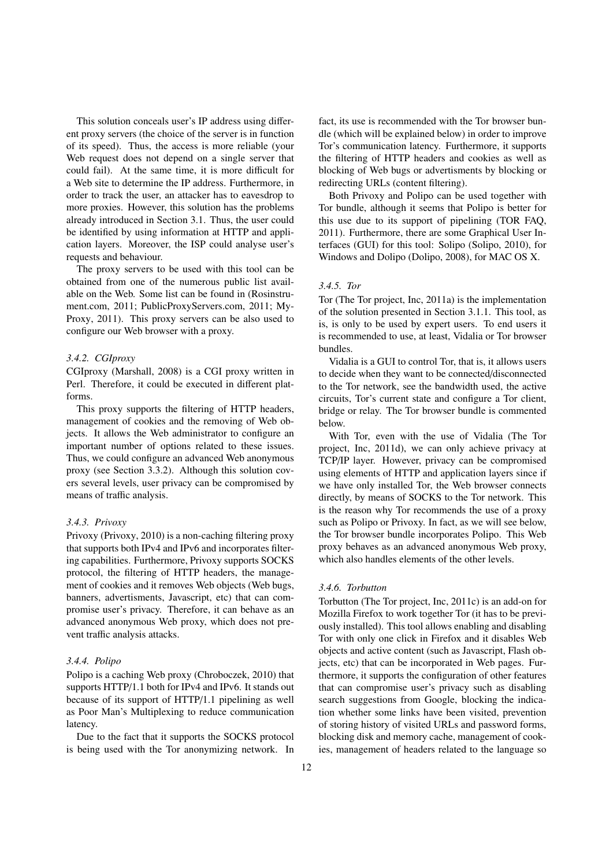This solution conceals user's IP address using different proxy servers (the choice of the server is in function of its speed). Thus, the access is more reliable (your Web request does not depend on a single server that could fail). At the same time, it is more difficult for a Web site to determine the IP address. Furthermore, in order to track the user, an attacker has to eavesdrop to more proxies. However, this solution has the problems already introduced in Section 3.1. Thus, the user could be identified by using information at HTTP and application layers. Moreover, the ISP could analyse user's requests and behaviour.

The proxy servers to be used with this tool can be obtained from one of the numerous public list available on the Web. Some list can be found in (Rosinstrument.com, 2011; PublicProxyServers.com, 2011; My-Proxy, 2011). This proxy servers can be also used to configure our Web browser with a proxy.

## *3.4.2. CGIproxy*

CGIproxy (Marshall, 2008) is a CGI proxy written in Perl. Therefore, it could be executed in different platforms.

This proxy supports the filtering of HTTP headers, management of cookies and the removing of Web objects. It allows the Web administrator to configure an important number of options related to these issues. Thus, we could configure an advanced Web anonymous proxy (see Section 3.3.2). Although this solution covers several levels, user privacy can be compromised by means of traffic analysis.

# *3.4.3. Privoxy*

Privoxy (Privoxy, 2010) is a non-caching filtering proxy that supports both IPv4 and IPv6 and incorporates filtering capabilities. Furthermore, Privoxy supports SOCKS protocol, the filtering of HTTP headers, the management of cookies and it removes Web objects (Web bugs, banners, advertisments, Javascript, etc) that can compromise user's privacy. Therefore, it can behave as an advanced anonymous Web proxy, which does not prevent traffic analysis attacks.

## *3.4.4. Polipo*

Polipo is a caching Web proxy (Chroboczek, 2010) that supports HTTP/1.1 both for IPv4 and IPv6. It stands out because of its support of HTTP/1.1 pipelining as well as Poor Man's Multiplexing to reduce communication latency.

Due to the fact that it supports the SOCKS protocol is being used with the Tor anonymizing network. In

fact, its use is recommended with the Tor browser bundle (which will be explained below) in order to improve Tor's communication latency. Furthermore, it supports the filtering of HTTP headers and cookies as well as blocking of Web bugs or advertisments by blocking or redirecting URLs (content filtering).

Both Privoxy and Polipo can be used together with Tor bundle, although it seems that Polipo is better for this use due to its support of pipelining (TOR FAQ, 2011). Furthermore, there are some Graphical User Interfaces (GUI) for this tool: Solipo (Solipo, 2010), for Windows and Dolipo (Dolipo, 2008), for MAC OS X.

# *3.4.5. Tor*

Tor (The Tor project, Inc, 2011a) is the implementation of the solution presented in Section 3.1.1. This tool, as is, is only to be used by expert users. To end users it is recommended to use, at least, Vidalia or Tor browser bundles.

Vidalia is a GUI to control Tor, that is, it allows users to decide when they want to be connected/disconnected to the Tor network, see the bandwidth used, the active circuits, Tor's current state and configure a Tor client, bridge or relay. The Tor browser bundle is commented below.

With Tor, even with the use of Vidalia (The Tor project, Inc, 2011d), we can only achieve privacy at TCP/IP layer. However, privacy can be compromised using elements of HTTP and application layers since if we have only installed Tor, the Web browser connects directly, by means of SOCKS to the Tor network. This is the reason why Tor recommends the use of a proxy such as Polipo or Privoxy. In fact, as we will see below, the Tor browser bundle incorporates Polipo. This Web proxy behaves as an advanced anonymous Web proxy, which also handles elements of the other levels.

#### *3.4.6. Torbutton*

Torbutton (The Tor project, Inc, 2011c) is an add-on for Mozilla Firefox to work together Tor (it has to be previously installed). This tool allows enabling and disabling Tor with only one click in Firefox and it disables Web objects and active content (such as Javascript, Flash objects, etc) that can be incorporated in Web pages. Furthermore, it supports the configuration of other features that can compromise user's privacy such as disabling search suggestions from Google, blocking the indication whether some links have been visited, prevention of storing history of visited URLs and password forms, blocking disk and memory cache, management of cookies, management of headers related to the language so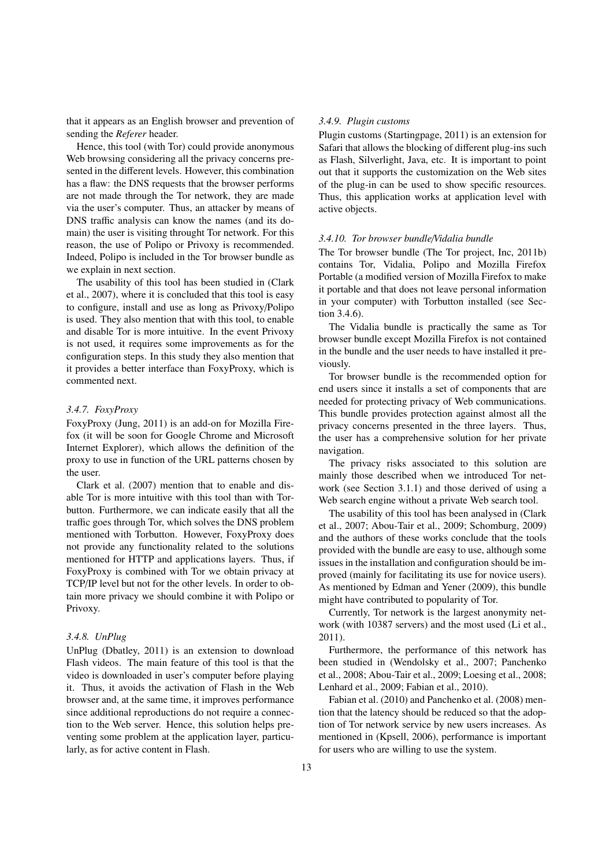that it appears as an English browser and prevention of sending the *Referer* header.

Hence, this tool (with Tor) could provide anonymous Web browsing considering all the privacy concerns presented in the different levels. However, this combination has a flaw: the DNS requests that the browser performs are not made through the Tor network, they are made via the user's computer. Thus, an attacker by means of DNS traffic analysis can know the names (and its domain) the user is visiting throught Tor network. For this reason, the use of Polipo or Privoxy is recommended. Indeed, Polipo is included in the Tor browser bundle as we explain in next section.

The usability of this tool has been studied in (Clark et al., 2007), where it is concluded that this tool is easy to configure, install and use as long as Privoxy/Polipo is used. They also mention that with this tool, to enable and disable Tor is more intuitive. In the event Privoxy is not used, it requires some improvements as for the configuration steps. In this study they also mention that it provides a better interface than FoxyProxy, which is commented next.

## *3.4.7. FoxyProxy*

FoxyProxy (Jung, 2011) is an add-on for Mozilla Firefox (it will be soon for Google Chrome and Microsoft Internet Explorer), which allows the definition of the proxy to use in function of the URL patterns chosen by the user.

Clark et al. (2007) mention that to enable and disable Tor is more intuitive with this tool than with Torbutton. Furthermore, we can indicate easily that all the traffic goes through Tor, which solves the DNS problem mentioned with Torbutton. However, FoxyProxy does not provide any functionality related to the solutions mentioned for HTTP and applications layers. Thus, if FoxyProxy is combined with Tor we obtain privacy at TCP/IP level but not for the other levels. In order to obtain more privacy we should combine it with Polipo or Privoxy.

# *3.4.8. UnPlug*

UnPlug (Dbatley, 2011) is an extension to download Flash videos. The main feature of this tool is that the video is downloaded in user's computer before playing it. Thus, it avoids the activation of Flash in the Web browser and, at the same time, it improves performance since additional reproductions do not require a connection to the Web server. Hence, this solution helps preventing some problem at the application layer, particularly, as for active content in Flash.

# *3.4.9. Plugin customs*

Plugin customs (Startingpage, 2011) is an extension for Safari that allows the blocking of different plug-ins such as Flash, Silverlight, Java, etc. It is important to point out that it supports the customization on the Web sites of the plug-in can be used to show specific resources. Thus, this application works at application level with active objects.

#### *3.4.10. Tor browser bundle*/*Vidalia bundle*

The Tor browser bundle (The Tor project, Inc, 2011b) contains Tor, Vidalia, Polipo and Mozilla Firefox Portable (a modified version of Mozilla Firefox to make it portable and that does not leave personal information in your computer) with Torbutton installed (see Section 3.4.6).

The Vidalia bundle is practically the same as Tor browser bundle except Mozilla Firefox is not contained in the bundle and the user needs to have installed it previously.

Tor browser bundle is the recommended option for end users since it installs a set of components that are needed for protecting privacy of Web communications. This bundle provides protection against almost all the privacy concerns presented in the three layers. Thus, the user has a comprehensive solution for her private navigation.

The privacy risks associated to this solution are mainly those described when we introduced Tor network (see Section 3.1.1) and those derived of using a Web search engine without a private Web search tool.

The usability of this tool has been analysed in (Clark et al., 2007; Abou-Tair et al., 2009; Schomburg, 2009) and the authors of these works conclude that the tools provided with the bundle are easy to use, although some issues in the installation and configuration should be improved (mainly for facilitating its use for novice users). As mentioned by Edman and Yener (2009), this bundle might have contributed to popularity of Tor.

Currently, Tor network is the largest anonymity network (with 10387 servers) and the most used (Li et al., 2011).

Furthermore, the performance of this network has been studied in (Wendolsky et al., 2007; Panchenko et al., 2008; Abou-Tair et al., 2009; Loesing et al., 2008; Lenhard et al., 2009; Fabian et al., 2010).

Fabian et al. (2010) and Panchenko et al. (2008) mention that the latency should be reduced so that the adoption of Tor network service by new users increases. As mentioned in (Kpsell, 2006), performance is important for users who are willing to use the system.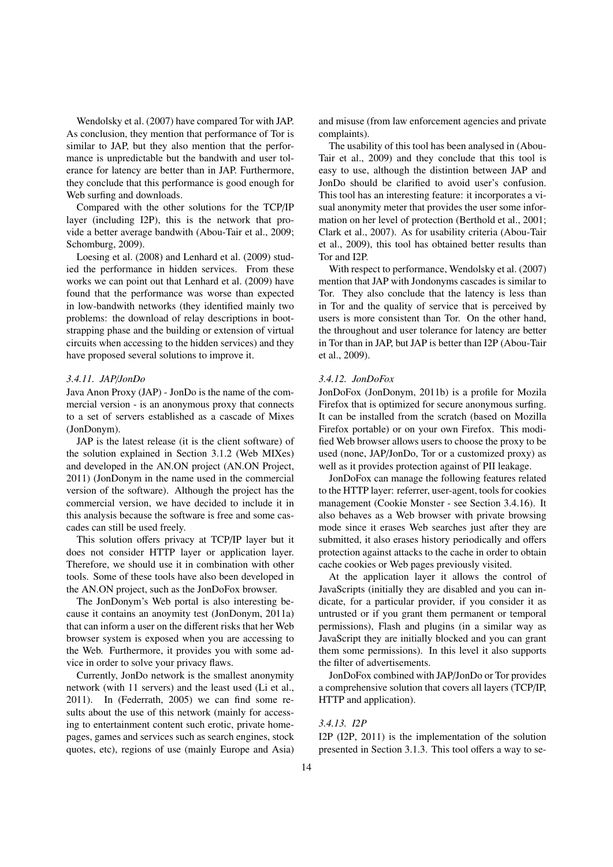Wendolsky et al. (2007) have compared Tor with JAP. As conclusion, they mention that performance of Tor is similar to JAP, but they also mention that the performance is unpredictable but the bandwith and user tolerance for latency are better than in JAP. Furthermore, they conclude that this performance is good enough for Web surfing and downloads.

Compared with the other solutions for the TCP/IP layer (including I2P), this is the network that provide a better average bandwith (Abou-Tair et al., 2009; Schomburg, 2009).

Loesing et al. (2008) and Lenhard et al. (2009) studied the performance in hidden services. From these works we can point out that Lenhard et al. (2009) have found that the performance was worse than expected in low-bandwith networks (they identified mainly two problems: the download of relay descriptions in bootstrapping phase and the building or extension of virtual circuits when accessing to the hidden services) and they have proposed several solutions to improve it.

## *3.4.11. JAP*/*JonDo*

Java Anon Proxy (JAP) - JonDo is the name of the commercial version - is an anonymous proxy that connects to a set of servers established as a cascade of Mixes (JonDonym).

JAP is the latest release (it is the client software) of the solution explained in Section 3.1.2 (Web MIXes) and developed in the AN.ON project (AN.ON Project, 2011) (JonDonym in the name used in the commercial version of the software). Although the project has the commercial version, we have decided to include it in this analysis because the software is free and some cascades can still be used freely.

This solution offers privacy at TCP/IP layer but it does not consider HTTP layer or application layer. Therefore, we should use it in combination with other tools. Some of these tools have also been developed in the AN.ON project, such as the JonDoFox browser.

The JonDonym's Web portal is also interesting because it contains an anoymity test (JonDonym, 2011a) that can inform a user on the different risks that her Web browser system is exposed when you are accessing to the Web. Furthermore, it provides you with some advice in order to solve your privacy flaws.

Currently, JonDo network is the smallest anonymity network (with 11 servers) and the least used (Li et al., 2011). In (Federrath, 2005) we can find some results about the use of this network (mainly for accessing to entertainment content such erotic, private homepages, games and services such as search engines, stock quotes, etc), regions of use (mainly Europe and Asia)

and misuse (from law enforcement agencies and private complaints).

The usability of this tool has been analysed in (Abou-Tair et al., 2009) and they conclude that this tool is easy to use, although the distintion between JAP and JonDo should be clarified to avoid user's confusion. This tool has an interesting feature: it incorporates a visual anonymity meter that provides the user some information on her level of protection (Berthold et al., 2001; Clark et al., 2007). As for usability criteria (Abou-Tair et al., 2009), this tool has obtained better results than Tor and I2P.

With respect to performance, Wendolsky et al. (2007) mention that JAP with Jondonyms cascades is similar to Tor. They also conclude that the latency is less than in Tor and the quality of service that is perceived by users is more consistent than Tor. On the other hand, the throughout and user tolerance for latency are better in Tor than in JAP, but JAP is better than I2P (Abou-Tair et al., 2009).

# *3.4.12. JonDoFox*

JonDoFox (JonDonym, 2011b) is a profile for Mozila Firefox that is optimized for secure anonymous surfing. It can be installed from the scratch (based on Mozilla Firefox portable) or on your own Firefox. This modified Web browser allows users to choose the proxy to be used (none, JAP/JonDo, Tor or a customized proxy) as well as it provides protection against of PII leakage.

JonDoFox can manage the following features related to the HTTP layer: referrer, user-agent, tools for cookies management (Cookie Monster - see Section 3.4.16). It also behaves as a Web browser with private browsing mode since it erases Web searches just after they are submitted, it also erases history periodically and offers protection against attacks to the cache in order to obtain cache cookies or Web pages previously visited.

At the application layer it allows the control of JavaScripts (initially they are disabled and you can indicate, for a particular provider, if you consider it as untrusted or if you grant them permanent or temporal permissions), Flash and plugins (in a similar way as JavaScript they are initially blocked and you can grant them some permissions). In this level it also supports the filter of advertisements.

JonDoFox combined with JAP/JonDo or Tor provides a comprehensive solution that covers all layers (TCP/IP, HTTP and application).

#### *3.4.13. I2P*

I2P (I2P, 2011) is the implementation of the solution presented in Section 3.1.3. This tool offers a way to se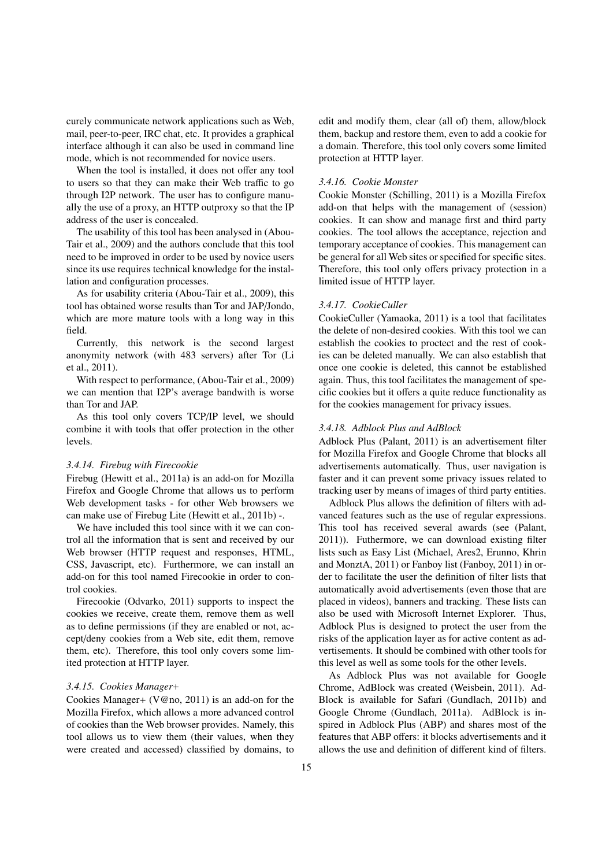curely communicate network applications such as Web, mail, peer-to-peer, IRC chat, etc. It provides a graphical interface although it can also be used in command line mode, which is not recommended for novice users.

When the tool is installed, it does not offer any tool to users so that they can make their Web traffic to go through I2P network. The user has to configure manually the use of a proxy, an HTTP outproxy so that the IP address of the user is concealed.

The usability of this tool has been analysed in (Abou-Tair et al., 2009) and the authors conclude that this tool need to be improved in order to be used by novice users since its use requires technical knowledge for the installation and configuration processes.

As for usability criteria (Abou-Tair et al., 2009), this tool has obtained worse results than Tor and JAP/Jondo, which are more mature tools with a long way in this field.

Currently, this network is the second largest anonymity network (with 483 servers) after Tor (Li et al., 2011).

With respect to performance, (Abou-Tair et al., 2009) we can mention that I2P's average bandwith is worse than Tor and JAP.

As this tool only covers TCP/IP level, we should combine it with tools that offer protection in the other levels.

#### *3.4.14. Firebug with Firecookie*

Firebug (Hewitt et al., 2011a) is an add-on for Mozilla Firefox and Google Chrome that allows us to perform Web development tasks - for other Web browsers we can make use of Firebug Lite (Hewitt et al., 2011b) -.

We have included this tool since with it we can control all the information that is sent and received by our Web browser (HTTP request and responses, HTML, CSS, Javascript, etc). Furthermore, we can install an add-on for this tool named Firecookie in order to control cookies.

Firecookie (Odvarko, 2011) supports to inspect the cookies we receive, create them, remove them as well as to define permissions (if they are enabled or not, accept/deny cookies from a Web site, edit them, remove them, etc). Therefore, this tool only covers some limited protection at HTTP layer.

#### *3.4.15. Cookies Manager*+

Cookies Manager+ (V@no, 2011) is an add-on for the Mozilla Firefox, which allows a more advanced control of cookies than the Web browser provides. Namely, this tool allows us to view them (their values, when they were created and accessed) classified by domains, to edit and modify them, clear (all of) them, allow/block them, backup and restore them, even to add a cookie for a domain. Therefore, this tool only covers some limited protection at HTTP layer.

## *3.4.16. Cookie Monster*

Cookie Monster (Schilling, 2011) is a Mozilla Firefox add-on that helps with the management of (session) cookies. It can show and manage first and third party cookies. The tool allows the acceptance, rejection and temporary acceptance of cookies. This management can be general for all Web sites or specified for specific sites. Therefore, this tool only offers privacy protection in a limited issue of HTTP layer.

## *3.4.17. CookieCuller*

CookieCuller (Yamaoka, 2011) is a tool that facilitates the delete of non-desired cookies. With this tool we can establish the cookies to proctect and the rest of cookies can be deleted manually. We can also establish that once one cookie is deleted, this cannot be established again. Thus, this tool facilitates the management of specific cookies but it offers a quite reduce functionality as for the cookies management for privacy issues.

# *3.4.18. Adblock Plus and AdBlock*

Adblock Plus (Palant, 2011) is an advertisement filter for Mozilla Firefox and Google Chrome that blocks all advertisements automatically. Thus, user navigation is faster and it can prevent some privacy issues related to tracking user by means of images of third party entities.

Adblock Plus allows the definition of filters with advanced features such as the use of regular expressions. This tool has received several awards (see (Palant, 2011)). Futhermore, we can download existing filter lists such as Easy List (Michael, Ares2, Erunno, Khrin and MonztA, 2011) or Fanboy list (Fanboy, 2011) in order to facilitate the user the definition of filter lists that automatically avoid advertisements (even those that are placed in videos), banners and tracking. These lists can also be used with Microsoft Internet Explorer. Thus, Adblock Plus is designed to protect the user from the risks of the application layer as for active content as advertisements. It should be combined with other tools for this level as well as some tools for the other levels.

As Adblock Plus was not available for Google Chrome, AdBlock was created (Weisbein, 2011). Ad-Block is available for Safari (Gundlach, 2011b) and Google Chrome (Gundlach, 2011a). AdBlock is inspired in Adblock Plus (ABP) and shares most of the features that ABP offers: it blocks advertisements and it allows the use and definition of different kind of filters.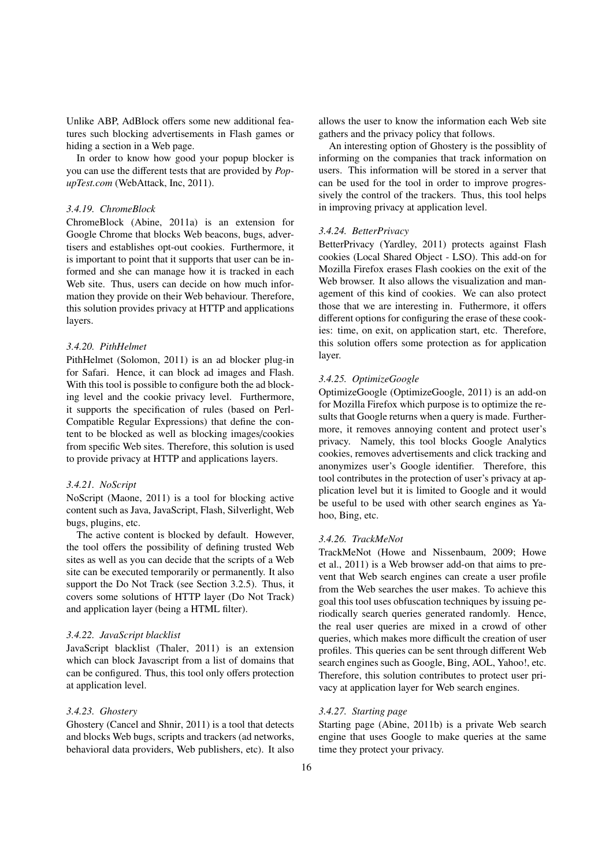Unlike ABP, AdBlock offers some new additional features such blocking advertisements in Flash games or hiding a section in a Web page.

In order to know how good your popup blocker is you can use the different tests that are provided by *PopupTest.com* (WebAttack, Inc, 2011).

# *3.4.19. ChromeBlock*

ChromeBlock (Abine, 2011a) is an extension for Google Chrome that blocks Web beacons, bugs, advertisers and establishes opt-out cookies. Furthermore, it is important to point that it supports that user can be informed and she can manage how it is tracked in each Web site. Thus, users can decide on how much information they provide on their Web behaviour. Therefore, this solution provides privacy at HTTP and applications layers.

## *3.4.20. PithHelmet*

PithHelmet (Solomon, 2011) is an ad blocker plug-in for Safari. Hence, it can block ad images and Flash. With this tool is possible to configure both the ad blocking level and the cookie privacy level. Furthermore, it supports the specification of rules (based on Perl-Compatible Regular Expressions) that define the content to be blocked as well as blocking images/cookies from specific Web sites. Therefore, this solution is used to provide privacy at HTTP and applications layers.

#### *3.4.21. NoScript*

NoScript (Maone, 2011) is a tool for blocking active content such as Java, JavaScript, Flash, Silverlight, Web bugs, plugins, etc.

The active content is blocked by default. However, the tool offers the possibility of defining trusted Web sites as well as you can decide that the scripts of a Web site can be executed temporarily or permanently. It also support the Do Not Track (see Section 3.2.5). Thus, it covers some solutions of HTTP layer (Do Not Track) and application layer (being a HTML filter).

## *3.4.22. JavaScript blacklist*

JavaScript blacklist (Thaler, 2011) is an extension which can block Javascript from a list of domains that can be configured. Thus, this tool only offers protection at application level.

# *3.4.23. Ghostery*

Ghostery (Cancel and Shnir, 2011) is a tool that detects and blocks Web bugs, scripts and trackers (ad networks, behavioral data providers, Web publishers, etc). It also allows the user to know the information each Web site gathers and the privacy policy that follows.

An interesting option of Ghostery is the possiblity of informing on the companies that track information on users. This information will be stored in a server that can be used for the tool in order to improve progressively the control of the trackers. Thus, this tool helps in improving privacy at application level.

## *3.4.24. BetterPrivacy*

BetterPrivacy (Yardley, 2011) protects against Flash cookies (Local Shared Object - LSO). This add-on for Mozilla Firefox erases Flash cookies on the exit of the Web browser. It also allows the visualization and management of this kind of cookies. We can also protect those that we are interesting in. Futhermore, it offers different options for configuring the erase of these cookies: time, on exit, on application start, etc. Therefore, this solution offers some protection as for application layer.

## *3.4.25. OptimizeGoogle*

OptimizeGoogle (OptimizeGoogle, 2011) is an add-on for Mozilla Firefox which purpose is to optimize the results that Google returns when a query is made. Furthermore, it removes annoying content and protect user's privacy. Namely, this tool blocks Google Analytics cookies, removes advertisements and click tracking and anonymizes user's Google identifier. Therefore, this tool contributes in the protection of user's privacy at application level but it is limited to Google and it would be useful to be used with other search engines as Yahoo, Bing, etc.

#### *3.4.26. TrackMeNot*

TrackMeNot (Howe and Nissenbaum, 2009; Howe et al., 2011) is a Web browser add-on that aims to prevent that Web search engines can create a user profile from the Web searches the user makes. To achieve this goal this tool uses obfuscation techniques by issuing periodically search queries generated randomly. Hence, the real user queries are mixed in a crowd of other queries, which makes more difficult the creation of user profiles. This queries can be sent through different Web search engines such as Google, Bing, AOL, Yahoo!, etc. Therefore, this solution contributes to protect user privacy at application layer for Web search engines.

#### *3.4.27. Starting page*

Starting page (Abine, 2011b) is a private Web search engine that uses Google to make queries at the same time they protect your privacy.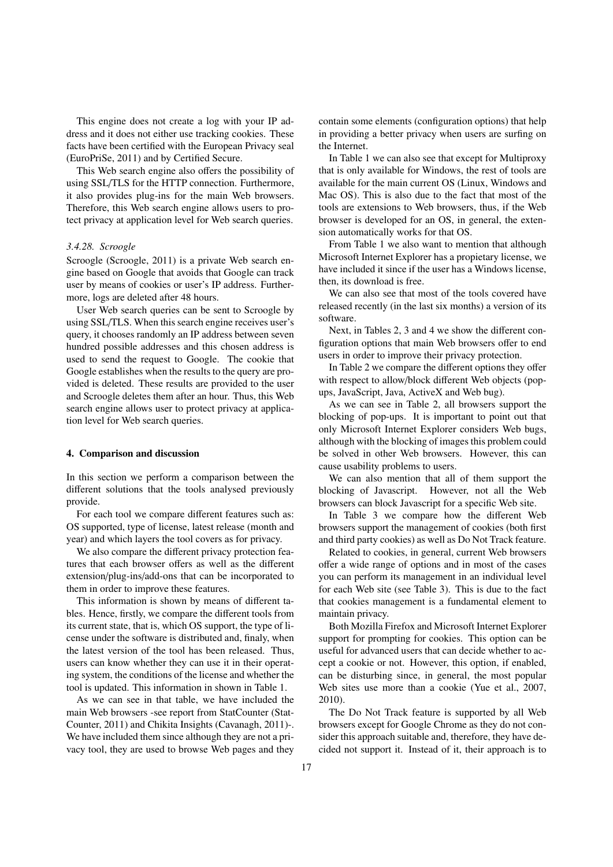This engine does not create a log with your IP address and it does not either use tracking cookies. These facts have been certified with the European Privacy seal (EuroPriSe, 2011) and by Certified Secure.

This Web search engine also offers the possibility of using SSL/TLS for the HTTP connection. Furthermore, it also provides plug-ins for the main Web browsers. Therefore, this Web search engine allows users to protect privacy at application level for Web search queries.

#### *3.4.28. Scroogle*

Scroogle (Scroogle, 2011) is a private Web search engine based on Google that avoids that Google can track user by means of cookies or user's IP address. Furthermore, logs are deleted after 48 hours.

User Web search queries can be sent to Scroogle by using SSL/TLS. When this search engine receives user's query, it chooses randomly an IP address between seven hundred possible addresses and this chosen address is used to send the request to Google. The cookie that Google establishes when the results to the query are provided is deleted. These results are provided to the user and Scroogle deletes them after an hour. Thus, this Web search engine allows user to protect privacy at application level for Web search queries.

## 4. Comparison and discussion

In this section we perform a comparison between the different solutions that the tools analysed previously provide.

For each tool we compare different features such as: OS supported, type of license, latest release (month and year) and which layers the tool covers as for privacy.

We also compare the different privacy protection features that each browser offers as well as the different extension/plug-ins/add-ons that can be incorporated to them in order to improve these features.

This information is shown by means of different tables. Hence, firstly, we compare the different tools from its current state, that is, which OS support, the type of license under the software is distributed and, finaly, when the latest version of the tool has been released. Thus, users can know whether they can use it in their operating system, the conditions of the license and whether the tool is updated. This information in shown in Table 1.

As we can see in that table, we have included the main Web browsers -see report from StatCounter (Stat-Counter, 2011) and Chikita Insights (Cavanagh, 2011)-. We have included them since although they are not a privacy tool, they are used to browse Web pages and they contain some elements (configuration options) that help in providing a better privacy when users are surfing on the Internet.

In Table 1 we can also see that except for Multiproxy that is only available for Windows, the rest of tools are available for the main current OS (Linux, Windows and Mac OS). This is also due to the fact that most of the tools are extensions to Web browsers, thus, if the Web browser is developed for an OS, in general, the extension automatically works for that OS.

From Table 1 we also want to mention that although Microsoft Internet Explorer has a propietary license, we have included it since if the user has a Windows license, then, its download is free.

We can also see that most of the tools covered have released recently (in the last six months) a version of its software.

Next, in Tables 2, 3 and 4 we show the different configuration options that main Web browsers offer to end users in order to improve their privacy protection.

In Table 2 we compare the different options they offer with respect to allow/block different Web objects (popups, JavaScript, Java, ActiveX and Web bug).

As we can see in Table 2, all browsers support the blocking of pop-ups. It is important to point out that only Microsoft Internet Explorer considers Web bugs, although with the blocking of images this problem could be solved in other Web browsers. However, this can cause usability problems to users.

We can also mention that all of them support the blocking of Javascript. However, not all the Web browsers can block Javascript for a specific Web site.

In Table 3 we compare how the different Web browsers support the management of cookies (both first and third party cookies) as well as Do Not Track feature.

Related to cookies, in general, current Web browsers offer a wide range of options and in most of the cases you can perform its management in an individual level for each Web site (see Table 3). This is due to the fact that cookies management is a fundamental element to maintain privacy.

Both Mozilla Firefox and Microsoft Internet Explorer support for prompting for cookies. This option can be useful for advanced users that can decide whether to accept a cookie or not. However, this option, if enabled, can be disturbing since, in general, the most popular Web sites use more than a cookie (Yue et al., 2007, 2010).

The Do Not Track feature is supported by all Web browsers except for Google Chrome as they do not consider this approach suitable and, therefore, they have decided not support it. Instead of it, their approach is to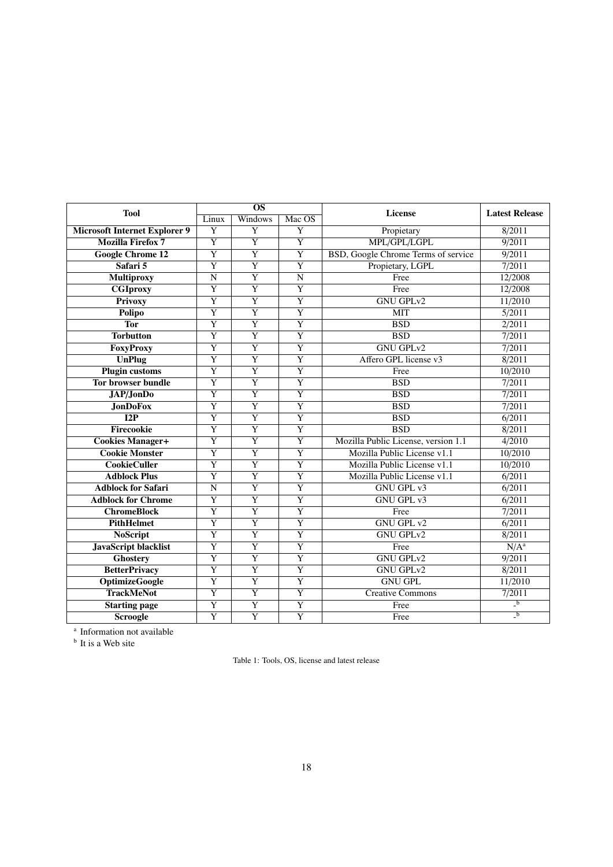| <b>Tool</b>                          |                            | <b>OS</b>               |                         | <b>License</b>                      | <b>Latest Release</b>                  |  |
|--------------------------------------|----------------------------|-------------------------|-------------------------|-------------------------------------|----------------------------------------|--|
|                                      | Windows<br>Mac OS<br>Linux |                         |                         |                                     |                                        |  |
| <b>Microsoft Internet Explorer 9</b> | Y                          | $\overline{\mathbf{Y}}$ | Y                       | Propietary                          | 8/2011                                 |  |
| <b>Mozilla Firefox 7</b>             | $\overline{Y}$             | $\overline{\mathsf{Y}}$ | $\overline{Y}$          | MPL/GPL/LGPL                        | 9/2011                                 |  |
| <b>Google Chrome 12</b>              | Y                          | Y                       | Y                       | BSD, Google Chrome Terms of service | 9/2011                                 |  |
| Safari 5                             | $\overline{Y}$             | $\overline{Y}$          | $\overline{Y}$          | Propietary, LGPL                    | 7/2011                                 |  |
| <b>Multiproxy</b>                    | $\mathbf N$                | $\overline{\mathsf{Y}}$ | $\mathbf N$             | Free                                | 12/2008                                |  |
| <b>CGIproxy</b>                      | $\overline{Y}$             | $\overline{\mathrm{Y}}$ | $\overline{Y}$          | Free                                | 12/2008                                |  |
| <b>Privoxy</b>                       | $\overline{Y}$             | $\overline{Y}$          | $\overline{Y}$          | <b>GNU GPLv2</b>                    | 11/2010                                |  |
| <b>Polipo</b>                        | $\overline{\text{Y}}$      | $\overline{\mathrm{Y}}$ | $\overline{\mathbf{Y}}$ | <b>MIT</b>                          | 5/2011                                 |  |
| <b>Tor</b>                           | $\overline{Y}$             | $\overline{\text{Y}}$   | $\overline{\mathsf{Y}}$ | $\overline{\text{BSD}}$             | 2/2011                                 |  |
| <b>Torbutton</b>                     | Y                          | $\overline{Y}$          | Y                       | <b>BSD</b>                          | 7/2011                                 |  |
| <b>FoxyProxy</b>                     | $\overline{Y}$             | $\overline{\mathrm{Y}}$ | $\overline{Y}$          | <b>GNU GPLv2</b>                    | 7/2011                                 |  |
| <b>UnPlug</b>                        | $\overline{\text{Y}}$      | $\overline{\text{Y}}$   | $\overline{\text{Y}}$   | Affero GPL license v3               | 8/2011                                 |  |
| <b>Plugin customs</b>                | Y                          | Y                       | Y                       | Free                                | 10/2010                                |  |
| <b>Tor browser bundle</b>            | $\overline{Y}$             | $\overline{\mathrm{Y}}$ | $\overline{\text{Y}}$   | <b>BSD</b>                          | 7/2011                                 |  |
| JAP/JonDo                            | $\overline{Y}$             | $\overline{\text{Y}}$   | $\overline{\text{Y}}$   | $\overline{\text{BSD}}$             | 7/2011                                 |  |
| <b>JonDoFox</b>                      | $\overline{Y}$             | $\overline{Y}$          | $\overline{Y}$          | <b>BSD</b>                          | 7/2011                                 |  |
| 12P                                  | $\overline{Y}$             | $\overline{\mathsf{Y}}$ | $\overline{Y}$          | <b>BSD</b>                          | 6/2011                                 |  |
| Firecookie                           | $\overline{Y}$             | $\overline{\mathrm{Y}}$ | $\overline{\text{Y}}$   | $\overline{\text{BSD}}$             | 8/2011                                 |  |
| <b>Cookies Manager+</b>              | Y                          | $\overline{\mathsf{Y}}$ | $\overline{\mathrm{Y}}$ | Mozilla Public License, version 1.1 | 4/2010                                 |  |
| <b>Cookie Monster</b>                | $\overline{Y}$             | $\overline{Y}$          | $\overline{Y}$          | Mozilla Public License v1.1         | 10/2010                                |  |
| <b>CookieCuller</b>                  | $\overline{Y}$             | $\overline{\mathsf{Y}}$ | $\overline{\mathsf{Y}}$ | Mozilla Public License v1.1         | 10/2010                                |  |
| <b>Adblock Plus</b>                  | $\overline{Y}$             | $\overline{\mathsf{Y}}$ | $\overline{\text{Y}}$   | Mozilla Public License v1.1         | 6/2011                                 |  |
| <b>Adblock for Safari</b>            | N                          | $\overline{Y}$          | Y                       | <b>GNU GPL v3</b>                   | 6/2011                                 |  |
| <b>Adblock for Chrome</b>            | $\overline{Y}$             | $\overline{Y}$          | $\overline{\text{Y}}$   | <b>GNU GPL v3</b>                   | 6/2011                                 |  |
| <b>ChromeBlock</b>                   | $\overline{\text{Y}}$      | $\overline{\mathbf{Y}}$ | $\overline{\mathsf{Y}}$ | Free                                | 7/2011                                 |  |
| <b>PithHelmet</b>                    | $\overline{Y}$             | $\overline{\mathsf{Y}}$ | $\overline{\mathsf{Y}}$ | <b>GNU GPL v2</b>                   | 6/2011                                 |  |
| <b>NoScript</b>                      | $\overline{Y}$             | $\overline{Y}$          | $\overline{Y}$          | <b>GNU GPLv2</b>                    | 8/2011                                 |  |
| <b>JavaScript blacklist</b>          | $\overline{\mathbf{Y}}$    | $\overline{\mathrm{Y}}$ | $\overline{\text{Y}}$   | Free                                | N/A <sup>a</sup>                       |  |
| <b>Ghostery</b>                      | $\overline{Y}$             | $\overline{\text{Y}}$   | $\overline{Y}$          | <b>GNU GPLv2</b>                    | 9/2011                                 |  |
| <b>BetterPrivacy</b>                 | Y                          | $\overline{Y}$          | $\overline{Y}$          | <b>GNU GPLv2</b>                    | 8/2011                                 |  |
| <b>OptimizeGoogle</b>                | $\overline{Y}$             | $\overline{Y}$          | $\overline{Y}$          | <b>GNU GPL</b>                      | 11/2010                                |  |
| <b>TrackMeNot</b>                    | $\overline{\text{Y}}$      | $\overline{\text{Y}}$   | $\overline{\text{Y}}$   | <b>Creative Commons</b>             | 7/2011                                 |  |
| <b>Starting page</b>                 | Y                          | $\overline{Y}$          | $\overline{Y}$          | Free                                | $\overline{\phantom{a}}^{\phantom{a}}$ |  |
| Scroogle                             | $\overline{Y}$             | $\overline{\text{Y}}$   | $\overline{\text{Y}}$   | Free                                | $\overline{\phantom{a}}^{\phantom{a}}$ |  |

a Information not available

<sup>b</sup> It is a Web site

Table 1: Tools, OS, license and latest release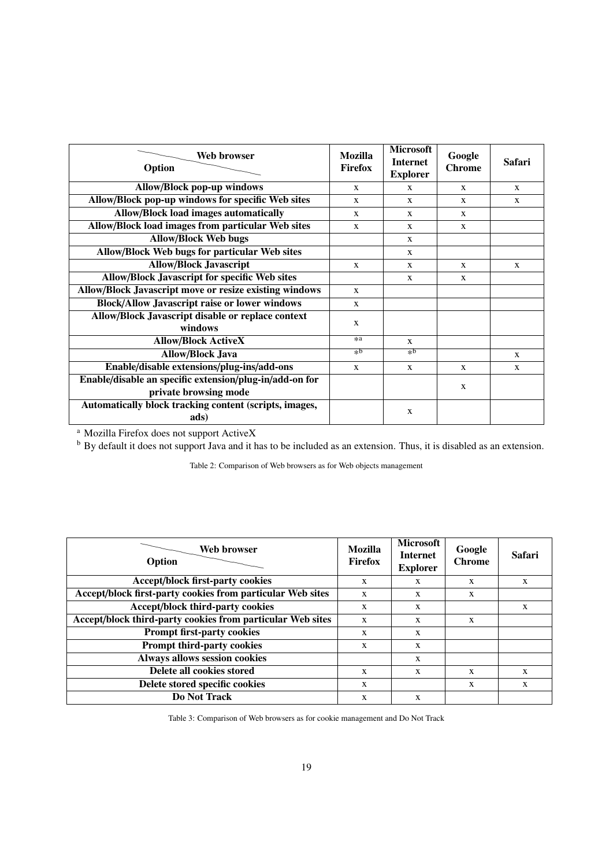| Web browser<br>Option                                                            | <b>Mozilla</b><br><b>Firefox</b> | <b>Microsoft</b><br><b>Internet</b><br><b>Explorer</b> | Google<br><b>Chrome</b> | <b>Safari</b> |
|----------------------------------------------------------------------------------|----------------------------------|--------------------------------------------------------|-------------------------|---------------|
| <b>Allow/Block pop-up windows</b>                                                | X                                | X                                                      | X                       | X             |
| Allow/Block pop-up windows for specific Web sites                                | $\mathbf{x}$                     | $\mathbf{x}$                                           | X                       | X             |
| <b>Allow/Block load images automatically</b>                                     | $\mathbf{x}$                     | $\mathbf{x}$                                           | X                       |               |
| <b>Allow/Block load images from particular Web sites</b>                         | X                                | X                                                      | X                       |               |
| <b>Allow/Block Web bugs</b>                                                      |                                  | $\mathbf{x}$                                           |                         |               |
| <b>Allow/Block Web bugs for particular Web sites</b>                             |                                  | X                                                      |                         |               |
| <b>Allow/Block Javascript</b>                                                    | $\mathbf{X}$                     | $\mathbf{X}$                                           | X                       | X             |
| <b>Allow/Block Javascript for specific Web sites</b>                             |                                  | X                                                      | X                       |               |
| Allow/Block Javascript move or resize existing windows                           | $\mathbf{x}$                     |                                                        |                         |               |
| <b>Block/Allow Javascript raise or lower windows</b>                             | $\mathbf{x}$                     |                                                        |                         |               |
| Allow/Block Javascript disable or replace context<br>windows                     | X                                |                                                        |                         |               |
| <b>Allow/Block ActiveX</b>                                                       | $*a$                             | $\mathbf{x}$                                           |                         |               |
| <b>Allow/Block Java</b>                                                          | $*b$                             | $*b$                                                   |                         | $\mathbf{x}$  |
| Enable/disable extensions/plug-ins/add-ons                                       | $\mathbf{X}$                     | $\mathbf{x}$                                           | X                       | X             |
| Enable/disable an specific extension/plug-in/add-on for<br>private browsing mode |                                  |                                                        | X                       |               |
| Automatically block tracking content (scripts, images,<br>ads)                   |                                  | X                                                      |                         |               |

<sup>a</sup> Mozilla Firefox does not support ActiveX

<sup>b</sup> By default it does not support Java and it has to be included as an extension. Thus, it is disabled as an extension.

Table 2: Comparison of Web browsers as for Web objects management

| Web browser<br>Option                                             | <b>Mozilla</b><br><b>Firefox</b> | Microsoft<br><b>Internet</b><br><b>Explorer</b> | Google<br><b>Chrome</b> | Safari       |
|-------------------------------------------------------------------|----------------------------------|-------------------------------------------------|-------------------------|--------------|
| <b>Accept/block first-party cookies</b>                           | $\mathbf{x}$                     | X                                               | X                       | X            |
| Accept/block first-party cookies from particular Web sites        | $\mathbf{x}$                     | X                                               | X                       |              |
| <b>Accept/block third-party cookies</b>                           | X                                | X                                               |                         | X            |
| <b>Accept/block third-party cookies from particular Web sites</b> | $\mathbf{x}$                     | X                                               | X                       |              |
| <b>Prompt first-party cookies</b>                                 | $\mathbf{x}$                     | X                                               |                         |              |
| <b>Prompt third-party cookies</b>                                 | $\mathbf{x}$                     | X                                               |                         |              |
| <b>Always allows session cookies</b>                              |                                  | $\mathbf{x}$                                    |                         |              |
| Delete all cookies stored                                         | $\mathbf{x}$                     | X                                               | X                       | $\mathbf{x}$ |
| Delete stored specific cookies                                    | X                                |                                                 | X                       | X            |
| Do Not Track                                                      | X                                | X                                               |                         |              |

Table 3: Comparison of Web browsers as for cookie management and Do Not Track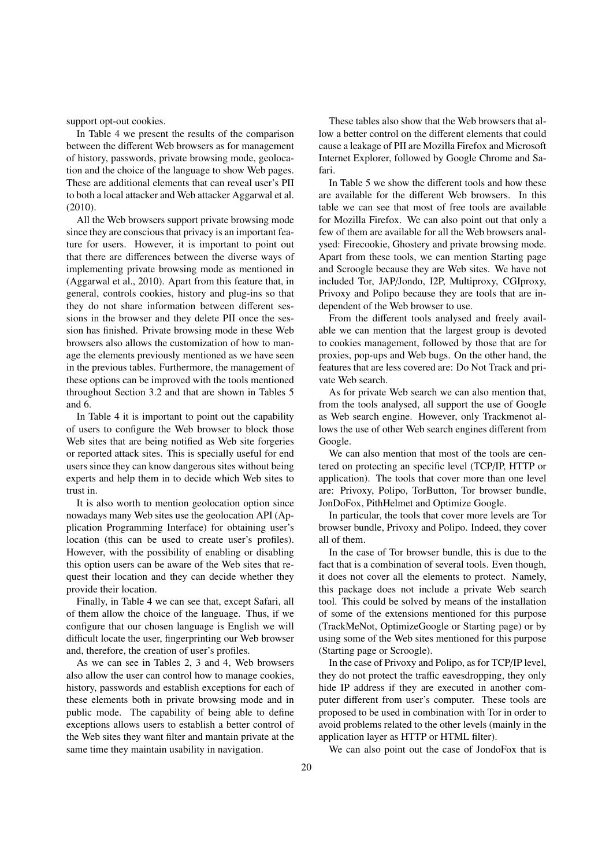support opt-out cookies.

In Table 4 we present the results of the comparison between the different Web browsers as for management of history, passwords, private browsing mode, geolocation and the choice of the language to show Web pages. These are additional elements that can reveal user's PII to both a local attacker and Web attacker Aggarwal et al. (2010).

All the Web browsers support private browsing mode since they are conscious that privacy is an important feature for users. However, it is important to point out that there are differences between the diverse ways of implementing private browsing mode as mentioned in (Aggarwal et al., 2010). Apart from this feature that, in general, controls cookies, history and plug-ins so that they do not share information between different sessions in the browser and they delete PII once the session has finished. Private browsing mode in these Web browsers also allows the customization of how to manage the elements previously mentioned as we have seen in the previous tables. Furthermore, the management of these options can be improved with the tools mentioned throughout Section 3.2 and that are shown in Tables 5 and 6.

In Table 4 it is important to point out the capability of users to configure the Web browser to block those Web sites that are being notified as Web site forgeries or reported attack sites. This is specially useful for end users since they can know dangerous sites without being experts and help them in to decide which Web sites to trust in.

It is also worth to mention geolocation option since nowadays many Web sites use the geolocation API (Application Programming Interface) for obtaining user's location (this can be used to create user's profiles). However, with the possibility of enabling or disabling this option users can be aware of the Web sites that request their location and they can decide whether they provide their location.

Finally, in Table 4 we can see that, except Safari, all of them allow the choice of the language. Thus, if we configure that our chosen language is English we will difficult locate the user, fingerprinting our Web browser and, therefore, the creation of user's profiles.

As we can see in Tables 2, 3 and 4, Web browsers also allow the user can control how to manage cookies, history, passwords and establish exceptions for each of these elements both in private browsing mode and in public mode. The capability of being able to define exceptions allows users to establish a better control of the Web sites they want filter and mantain private at the same time they maintain usability in navigation.

These tables also show that the Web browsers that allow a better control on the different elements that could cause a leakage of PII are Mozilla Firefox and Microsoft Internet Explorer, followed by Google Chrome and Safari.

In Table 5 we show the different tools and how these are available for the different Web browsers. In this table we can see that most of free tools are available for Mozilla Firefox. We can also point out that only a few of them are available for all the Web browsers analysed: Firecookie, Ghostery and private browsing mode. Apart from these tools, we can mention Starting page and Scroogle because they are Web sites. We have not included Tor, JAP/Jondo, I2P, Multiproxy, CGIproxy, Privoxy and Polipo because they are tools that are independent of the Web browser to use.

From the different tools analysed and freely available we can mention that the largest group is devoted to cookies management, followed by those that are for proxies, pop-ups and Web bugs. On the other hand, the features that are less covered are: Do Not Track and private Web search.

As for private Web search we can also mention that, from the tools analysed, all support the use of Google as Web search engine. However, only Trackmenot allows the use of other Web search engines different from Google.

We can also mention that most of the tools are centered on protecting an specific level (TCP/IP, HTTP or application). The tools that cover more than one level are: Privoxy, Polipo, TorButton, Tor browser bundle, JonDoFox, PithHelmet and Optimize Google.

In particular, the tools that cover more levels are Tor browser bundle, Privoxy and Polipo. Indeed, they cover all of them.

In the case of Tor browser bundle, this is due to the fact that is a combination of several tools. Even though, it does not cover all the elements to protect. Namely, this package does not include a private Web search tool. This could be solved by means of the installation of some of the extensions mentioned for this purpose (TrackMeNot, OptimizeGoogle or Starting page) or by using some of the Web sites mentioned for this purpose (Starting page or Scroogle).

In the case of Privoxy and Polipo, as for TCP/IP level, they do not protect the traffic eavesdropping, they only hide IP address if they are executed in another computer different from user's computer. These tools are proposed to be used in combination with Tor in order to avoid problems related to the other levels (mainly in the application layer as HTTP or HTML filter).

We can also point out the case of JondoFox that is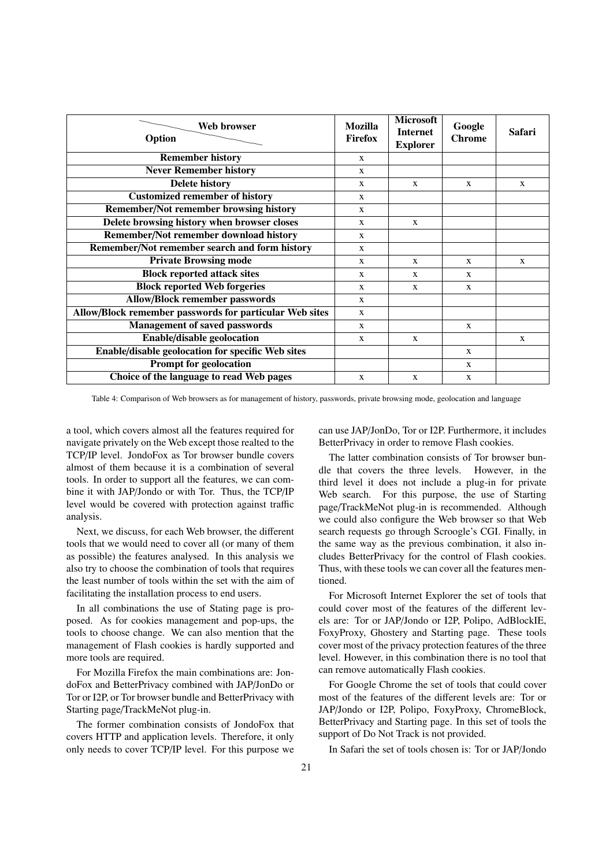| Web browser<br>Option                                   | <b>Mozilla</b><br><b>Firefox</b> | <b>Microsoft</b><br><b>Internet</b><br><b>Explorer</b> | Google<br><b>Chrome</b> | Safari       |
|---------------------------------------------------------|----------------------------------|--------------------------------------------------------|-------------------------|--------------|
| <b>Remember history</b>                                 | X                                |                                                        |                         |              |
| <b>Never Remember history</b>                           | $\mathbf{x}$                     |                                                        |                         |              |
| <b>Delete history</b>                                   | $\mathbf{x}$                     | X                                                      | X                       | $\mathbf{X}$ |
| <b>Customized remember of history</b>                   | $\mathbf{X}$                     |                                                        |                         |              |
| Remember/Not remember browsing history                  | $\mathbf{X}$                     |                                                        |                         |              |
| Delete browsing history when browser closes             | $\mathbf{x}$                     | X                                                      |                         |              |
| Remember/Not remember download history                  | $\mathbf{x}$                     |                                                        |                         |              |
| Remember/Not remember search and form history           | $\mathbf{x}$                     |                                                        |                         |              |
| <b>Private Browsing mode</b>                            | $\mathbf{x}$                     | $\mathbf{x}$                                           | $\mathbf{x}$            | $\mathbf{x}$ |
| <b>Block reported attack sites</b>                      | X                                | X                                                      | X                       |              |
| <b>Block reported Web forgeries</b>                     | $\mathbf{x}$                     | $\mathbf{x}$                                           | X                       |              |
| <b>Allow/Block remember passwords</b>                   | $\mathbf{x}$                     |                                                        |                         |              |
| Allow/Block remember passwords for particular Web sites | $\mathbf{x}$                     |                                                        |                         |              |
| <b>Management of saved passwords</b>                    | $\mathbf{x}$                     |                                                        | X                       |              |
| Enable/disable geolocation                              | X                                | X                                                      |                         | X            |
| Enable/disable geolocation for specific Web sites       |                                  |                                                        | X                       |              |
| <b>Prompt for geolocation</b>                           |                                  |                                                        | $\mathbf{x}$            |              |
| Choice of the language to read Web pages                | $\mathbf{x}$                     | X                                                      | $\mathbf{x}$            |              |

Table 4: Comparison of Web browsers as for management of history, passwords, private browsing mode, geolocation and language

a tool, which covers almost all the features required for navigate privately on the Web except those realted to the TCP/IP level. JondoFox as Tor browser bundle covers almost of them because it is a combination of several tools. In order to support all the features, we can combine it with JAP/Jondo or with Tor. Thus, the TCP/IP level would be covered with protection against traffic analysis.

Next, we discuss, for each Web browser, the different tools that we would need to cover all (or many of them as possible) the features analysed. In this analysis we also try to choose the combination of tools that requires the least number of tools within the set with the aim of facilitating the installation process to end users.

In all combinations the use of Stating page is proposed. As for cookies management and pop-ups, the tools to choose change. We can also mention that the management of Flash cookies is hardly supported and more tools are required.

For Mozilla Firefox the main combinations are: JondoFox and BetterPrivacy combined with JAP/JonDo or Tor or I2P, or Tor browser bundle and BetterPrivacy with Starting page/TrackMeNot plug-in.

The former combination consists of JondoFox that covers HTTP and application levels. Therefore, it only only needs to cover TCP/IP level. For this purpose we can use JAP/JonDo, Tor or I2P. Furthermore, it includes BetterPrivacy in order to remove Flash cookies.

The latter combination consists of Tor browser bundle that covers the three levels. However, in the third level it does not include a plug-in for private Web search. For this purpose, the use of Starting page/TrackMeNot plug-in is recommended. Although we could also configure the Web browser so that Web search requests go through Scroogle's CGI. Finally, in the same way as the previous combination, it also includes BetterPrivacy for the control of Flash cookies. Thus, with these tools we can cover all the features mentioned.

For Microsoft Internet Explorer the set of tools that could cover most of the features of the different levels are: Tor or JAP/Jondo or I2P, Polipo, AdBlockIE, FoxyProxy, Ghostery and Starting page. These tools cover most of the privacy protection features of the three level. However, in this combination there is no tool that can remove automatically Flash cookies.

For Google Chrome the set of tools that could cover most of the features of the different levels are: Tor or JAP/Jondo or I2P, Polipo, FoxyProxy, ChromeBlock, BetterPrivacy and Starting page. In this set of tools the support of Do Not Track is not provided.

In Safari the set of tools chosen is: Tor or JAP/Jondo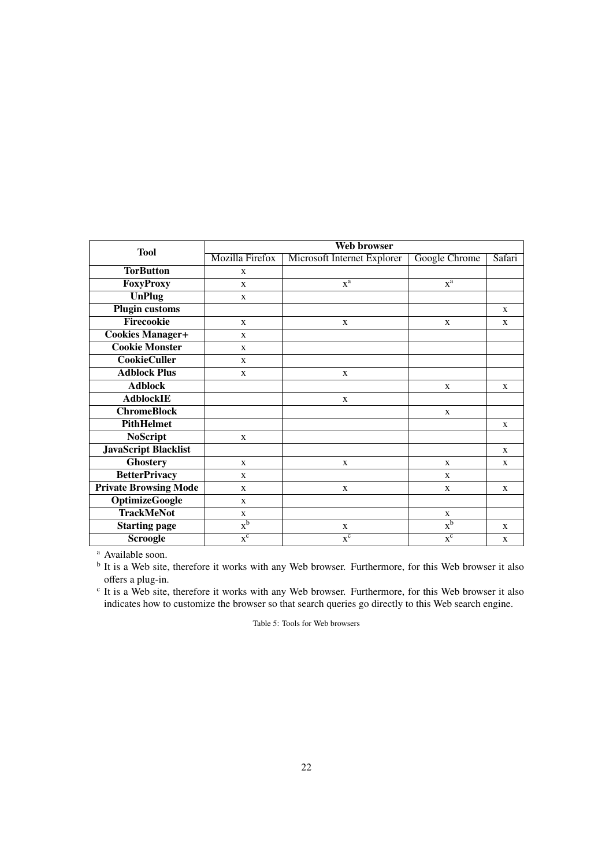|                              | Web browser      |                               |                  |              |  |  |  |  |  |
|------------------------------|------------------|-------------------------------|------------------|--------------|--|--|--|--|--|
| <b>Tool</b>                  | Mozilla Firefox  | Microsoft Internet Explorer   | Google Chrome    | Safari       |  |  |  |  |  |
| <b>TorButton</b>             | X                |                               |                  |              |  |  |  |  |  |
| <b>FoxyProxy</b>             | X                | $\overline{x}^{\overline{a}}$ | $x^a$            |              |  |  |  |  |  |
| <b>UnPlug</b>                | $\mathbf{x}$     |                               |                  |              |  |  |  |  |  |
| <b>Plugin customs</b>        |                  |                               |                  | $\mathbf{x}$ |  |  |  |  |  |
| Firecookie                   | $\mathbf{x}$     | $\mathbf{X}$                  | X                | $\mathbf{X}$ |  |  |  |  |  |
| <b>Cookies Manager+</b>      | $\mathbf{x}$     |                               |                  |              |  |  |  |  |  |
| <b>Cookie Monster</b>        | $\mathbf{x}$     |                               |                  |              |  |  |  |  |  |
| <b>CookieCuller</b>          | X                |                               |                  |              |  |  |  |  |  |
| <b>Adblock Plus</b>          | X                | X                             |                  |              |  |  |  |  |  |
| <b>Adblock</b>               |                  |                               | $\mathbf{X}$     | X            |  |  |  |  |  |
| <b>AdblockIE</b>             |                  | X                             |                  |              |  |  |  |  |  |
| <b>ChromeBlock</b>           |                  |                               | $\mathbf{X}$     |              |  |  |  |  |  |
| <b>PithHelmet</b>            |                  |                               |                  | $\mathbf{X}$ |  |  |  |  |  |
| <b>NoScript</b>              | X                |                               |                  |              |  |  |  |  |  |
| <b>JavaScript Blacklist</b>  |                  |                               |                  | $\mathbf{x}$ |  |  |  |  |  |
| <b>Ghostery</b>              | $\mathbf{x}$     | $\mathbf X$                   | $\mathbf{x}$     | $\mathbf{x}$ |  |  |  |  |  |
| <b>BetterPrivacy</b>         | $\mathbf{x}$     |                               | $\mathbf{x}$     |              |  |  |  |  |  |
| <b>Private Browsing Mode</b> | $\mathbf{x}$     | X                             | $\mathbf{X}$     | $\mathbf{X}$ |  |  |  |  |  |
| <b>OptimizeGoogle</b>        | X                |                               |                  |              |  |  |  |  |  |
| <b>TrackMeNot</b>            | $\mathbf{x}$     |                               | $\mathbf{x}$     |              |  |  |  |  |  |
| <b>Starting page</b>         | $\overline{x}^b$ | $\mathbf X$                   | $\overline{x}^b$ | $\mathbf{x}$ |  |  |  |  |  |
| <b>Scroogle</b>              | $x^c$            | $x^c$                         | $x^c$            | $\mathbf X$  |  |  |  |  |  |

<sup>a</sup> Available soon.

<sup>b</sup> It is a Web site, therefore it works with any Web browser. Furthermore, for this Web browser it also offers a plug-in.

c It is a Web site, therefore it works with any Web browser. Furthermore, for this Web browser it also indicates how to customize the browser so that search queries go directly to this Web search engine.

Table 5: Tools for Web browsers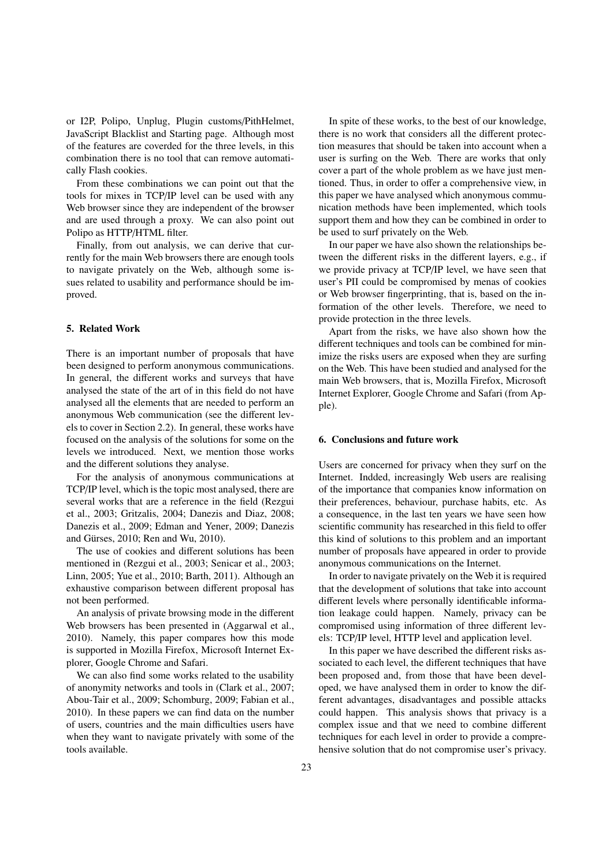or I2P, Polipo, Unplug, Plugin customs/PithHelmet, JavaScript Blacklist and Starting page. Although most of the features are coverded for the three levels, in this combination there is no tool that can remove automatically Flash cookies.

From these combinations we can point out that the tools for mixes in TCP/IP level can be used with any Web browser since they are independent of the browser and are used through a proxy. We can also point out Polipo as HTTP/HTML filter.

Finally, from out analysis, we can derive that currently for the main Web browsers there are enough tools to navigate privately on the Web, although some issues related to usability and performance should be improved.

#### 5. Related Work

There is an important number of proposals that have been designed to perform anonymous communications. In general, the different works and surveys that have analysed the state of the art of in this field do not have analysed all the elements that are needed to perform an anonymous Web communication (see the different levels to cover in Section 2.2). In general, these works have focused on the analysis of the solutions for some on the levels we introduced. Next, we mention those works and the different solutions they analyse.

For the analysis of anonymous communications at TCP/IP level, which is the topic most analysed, there are several works that are a reference in the field (Rezgui et al., 2003; Gritzalis, 2004; Danezis and Diaz, 2008; Danezis et al., 2009; Edman and Yener, 2009; Danezis and Gürses,  $2010$ ; Ren and Wu,  $2010$ ).

The use of cookies and different solutions has been mentioned in (Rezgui et al., 2003; Senicar et al., 2003; Linn, 2005; Yue et al., 2010; Barth, 2011). Although an exhaustive comparison between different proposal has not been performed.

An analysis of private browsing mode in the different Web browsers has been presented in (Aggarwal et al., 2010). Namely, this paper compares how this mode is supported in Mozilla Firefox, Microsoft Internet Explorer, Google Chrome and Safari.

We can also find some works related to the usability of anonymity networks and tools in (Clark et al., 2007; Abou-Tair et al., 2009; Schomburg, 2009; Fabian et al., 2010). In these papers we can find data on the number of users, countries and the main difficulties users have when they want to navigate privately with some of the tools available.

In spite of these works, to the best of our knowledge, there is no work that considers all the different protection measures that should be taken into account when a user is surfing on the Web. There are works that only cover a part of the whole problem as we have just mentioned. Thus, in order to offer a comprehensive view, in this paper we have analysed which anonymous communication methods have been implemented, which tools support them and how they can be combined in order to be used to surf privately on the Web.

In our paper we have also shown the relationships between the different risks in the different layers, e.g., if we provide privacy at TCP/IP level, we have seen that user's PII could be compromised by menas of cookies or Web browser fingerprinting, that is, based on the information of the other levels. Therefore, we need to provide protection in the three levels.

Apart from the risks, we have also shown how the different techniques and tools can be combined for minimize the risks users are exposed when they are surfing on the Web. This have been studied and analysed for the main Web browsers, that is, Mozilla Firefox, Microsoft Internet Explorer, Google Chrome and Safari (from Apple).

#### 6. Conclusions and future work

Users are concerned for privacy when they surf on the Internet. Indded, increasingly Web users are realising of the importance that companies know information on their preferences, behaviour, purchase habits, etc. As a consequence, in the last ten years we have seen how scientific community has researched in this field to offer this kind of solutions to this problem and an important number of proposals have appeared in order to provide anonymous communications on the Internet.

In order to navigate privately on the Web it is required that the development of solutions that take into account different levels where personally identificable information leakage could happen. Namely, privacy can be compromised using information of three different levels: TCP/IP level, HTTP level and application level.

In this paper we have described the different risks associated to each level, the different techniques that have been proposed and, from those that have been developed, we have analysed them in order to know the different advantages, disadvantages and possible attacks could happen. This analysis shows that privacy is a complex issue and that we need to combine different techniques for each level in order to provide a comprehensive solution that do not compromise user's privacy.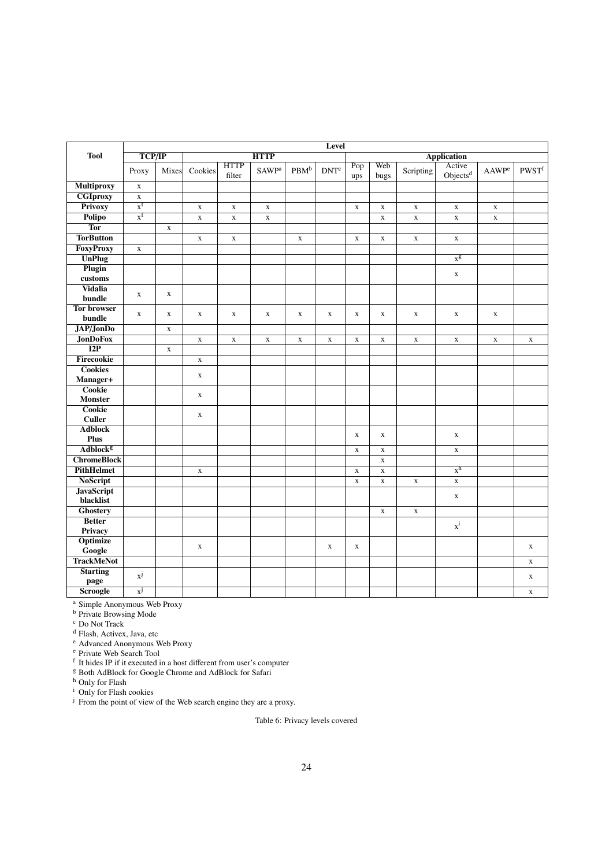|                            |                         | Level       |                                   |             |                   |                             |             |             |                    |             |                           |             |                            |
|----------------------------|-------------------------|-------------|-----------------------------------|-------------|-------------------|-----------------------------|-------------|-------------|--------------------|-------------|---------------------------|-------------|----------------------------|
| <b>Tool</b>                | <b>TCP/IP</b>           |             | <b>HTTP</b><br><b>Application</b> |             |                   |                             |             |             |                    |             |                           |             |                            |
|                            |                         | Mixes       | Cookies                           | <b>HTTP</b> | SAWP <sup>a</sup> | $\mathrm{PBM}^{\mathrm{b}}$ | DNTc        | Pop         | Web                | Scripting   | Active                    | AAWPe       | $\mathrm{PWST}^\mathrm{f}$ |
|                            | Proxy                   |             |                                   | filter      |                   |                             |             | ups         | bugs               |             | Objects <sup>d</sup>      |             |                            |
| <b>Multiproxy</b>          | $\mathbf x$             |             |                                   |             |                   |                             |             |             |                    |             |                           |             |                            |
| <b>CGIproxy</b>            | $\mathbf X$             |             |                                   |             |                   |                             |             |             |                    |             |                           |             |                            |
| Privoxy                    | $\overline{x}^f$        |             | $\mathbf X$                       | $\mathbf X$ | $\mathbf X$       |                             |             | $\mathbf X$ | $\mathbf X$        | $\mathbf X$ | $\mathbf x$               | $\mathbf X$ |                            |
| Polipo                     | $\overline{x}^f$        |             | $\mathbf x$                       | $\mathbf x$ | $\mathbf X$       |                             |             |             | $\bar{\mathbf{X}}$ | $\mathbf X$ | $\mathbf x$               | $\mathbf x$ |                            |
| <b>Tor</b>                 |                         | $\mathbf X$ |                                   |             |                   |                             |             |             |                    |             |                           |             |                            |
| <b>TorButton</b>           |                         |             | $\mathbf X$                       | $\mathbf X$ |                   | $\mathbf X$                 |             | $\mathbf x$ | $\mathbf X$        | $\mathbf X$ | $\mathbf x$               |             |                            |
| <b>FoxyProxy</b>           | $\mathbf X$             |             |                                   |             |                   |                             |             |             |                    |             |                           |             |                            |
| <b>UnPlug</b>              |                         |             |                                   |             |                   |                             |             |             |                    |             | $x^g$                     |             |                            |
| Plugin                     |                         |             |                                   |             |                   |                             |             |             |                    |             |                           |             |                            |
| customs                    |                         |             |                                   |             |                   |                             |             |             |                    |             | $\mathbf X$               |             |                            |
| <b>Vidalia</b>             |                         |             |                                   |             |                   |                             |             |             |                    |             |                           |             |                            |
| bundle                     | $\mathbf X$             | $\mathbf X$ |                                   |             |                   |                             |             |             |                    |             |                           |             |                            |
| <b>Tor browser</b>         | $\mathbf X$             | $\mathbf X$ | $\mathbf X$                       | $\mathbf X$ | $\mathbf X$       | $\mathbf X$                 | $\mathbf X$ | $\mathbf x$ | $\mathbf x$        | $\mathbf X$ | $\mathbf X$               | $\mathbf X$ |                            |
| bundle                     |                         |             |                                   |             |                   |                             |             |             |                    |             |                           |             |                            |
| JAP/JonDo                  |                         | $\mathbf X$ |                                   |             |                   |                             |             |             |                    |             |                           |             |                            |
| <b>JonDoFox</b>            |                         |             | $\mathbf X$                       | $\mathbf X$ | $\mathbf X$       | $\mathbf X$                 | $\mathbf X$ | $\mathbf X$ | $\mathbf x$        | $\mathbf X$ | $\mathbf X$               | $\mathbf X$ | $\mathbf X$                |
| I2P                        |                         | $\mathbf X$ |                                   |             |                   |                             |             |             |                    |             |                           |             |                            |
| Firecookie                 |                         |             | $\mathbf X$                       |             |                   |                             |             |             |                    |             |                           |             |                            |
| <b>Cookies</b>             |                         |             |                                   |             |                   |                             |             |             |                    |             |                           |             |                            |
| Manager+                   |                         |             | $\mathbf X$                       |             |                   |                             |             |             |                    |             |                           |             |                            |
| Cookie                     |                         |             | $\mathbf X$                       |             |                   |                             |             |             |                    |             |                           |             |                            |
| Monster                    |                         |             |                                   |             |                   |                             |             |             |                    |             |                           |             |                            |
| <b>Cookie</b>              |                         |             | $\mathbf X$                       |             |                   |                             |             |             |                    |             |                           |             |                            |
| <b>Culler</b>              |                         |             |                                   |             |                   |                             |             |             |                    |             |                           |             |                            |
| <b>Adblock</b>             |                         |             |                                   |             |                   |                             |             | $\mathbf x$ | $\mathbf x$        |             | $\mathbf x$               |             |                            |
| Plus                       |                         |             |                                   |             |                   |                             |             |             |                    |             |                           |             |                            |
| <b>Adblock<sup>g</sup></b> |                         |             |                                   |             |                   |                             |             | $\mathbf X$ | $\mathbf X$        |             | $\mathbf x$               |             |                            |
| <b>ChromeBlock</b>         |                         |             |                                   |             |                   |                             |             |             | $\bar{\mathbf{X}}$ |             |                           |             |                            |
| <b>PithHelmet</b>          |                         |             | $\mathbf X$                       |             |                   |                             |             | $\mathbf X$ | $\mathbf X$        |             | $x^h$                     |             |                            |
| <b>NoScript</b>            |                         |             |                                   |             |                   |                             |             | $\mathbf X$ | $\bar{\mathbf{X}}$ | $\mathbf X$ | $\mathbf x$               |             |                            |
| <b>JavaScript</b>          |                         |             |                                   |             |                   |                             |             |             |                    |             | $\mathbf X$               |             |                            |
| blacklist                  |                         |             |                                   |             |                   |                             |             |             |                    |             |                           |             |                            |
| Ghostery                   |                         |             |                                   |             |                   |                             |             |             | $\mathbf x$        | $\mathbf X$ |                           |             |                            |
| <b>Better</b>              |                         |             |                                   |             |                   |                             |             |             |                    |             | $\mathbf{x}^{\mathbf{i}}$ |             |                            |
| Privacy                    |                         |             |                                   |             |                   |                             |             |             |                    |             |                           |             |                            |
| Optimize                   |                         |             | $\mathbf X$                       |             |                   |                             | X           | X           |                    |             |                           |             | $\mathbf X$                |
| Google                     |                         |             |                                   |             |                   |                             |             |             |                    |             |                           |             |                            |
| <b>TrackMeNot</b>          |                         |             |                                   |             |                   |                             |             |             |                    |             |                           |             | $\mathbf X$                |
| <b>Starting</b><br>page    | $\mathbf{x}^\mathrm{j}$ |             |                                   |             |                   |                             |             |             |                    |             |                           |             | $\mathbf X$                |
| Scroogle                   | $x^{j}$                 |             |                                   |             |                   |                             |             |             |                    |             |                           |             | $\mathbf X$                |

<sup>a</sup> Simple Anonymous Web Proxy

**b** Private Browsing Mode

<sup>c</sup> Do Not Track

<sup>d</sup> Flash, Activex, Java, etc

<sup>e</sup> Advanced Anonymous Web Proxy

<sup>e</sup> Private Web Search Tool<br><sup>f</sup> It hides IP if it executed in a host different from user's computer

<sup>g</sup> Both AdBlock for Google Chrome and AdBlock for Safari

h Only for Flash

<sup>i</sup> Only for Flash cookies

<sup>j</sup> From the point of view of the Web search engine they are a proxy.

Table 6: Privacy levels covered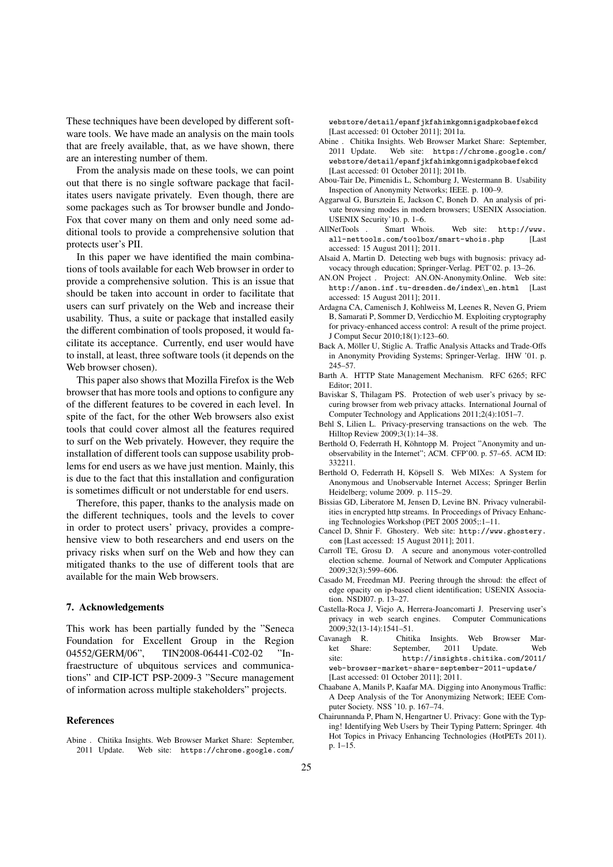These techniques have been developed by different software tools. We have made an analysis on the main tools that are freely available, that, as we have shown, there are an interesting number of them.

From the analysis made on these tools, we can point out that there is no single software package that facilitates users navigate privately. Even though, there are some packages such as Tor browser bundle and Jondo-Fox that cover many on them and only need some additional tools to provide a comprehensive solution that protects user's PII.

In this paper we have identified the main combinations of tools available for each Web browser in order to provide a comprehensive solution. This is an issue that should be taken into account in order to facilitate that users can surf privately on the Web and increase their usability. Thus, a suite or package that installed easily the different combination of tools proposed, it would facilitate its acceptance. Currently, end user would have to install, at least, three software tools (it depends on the Web browser chosen).

This paper also shows that Mozilla Firefox is the Web browser that has more tools and options to configure any of the different features to be covered in each level. In spite of the fact, for the other Web browsers also exist tools that could cover almost all the features required to surf on the Web privately. However, they require the installation of different tools can suppose usability problems for end users as we have just mention. Mainly, this is due to the fact that this installation and configuration is sometimes difficult or not understable for end users.

Therefore, this paper, thanks to the analysis made on the different techniques, tools and the levels to cover in order to protect users' privacy, provides a comprehensive view to both researchers and end users on the privacy risks when surf on the Web and how they can mitigated thanks to the use of different tools that are available for the main Web browsers.

## 7. Acknowledgements

This work has been partially funded by the "Seneca Foundation for Excellent Group in the Region 04552/GERM/06", TIN2008-06441-C02-02 "Infraestructure of ubquitous services and communications" and CIP-ICT PSP-2009-3 "Secure management of information across multiple stakeholders" projects.

## References

Abine . Chitika Insights. Web Browser Market Share: September, 2011 Update. Web site: https://chrome.google.com/

webstore/detail/epanfjkfahimkgomnigadpkobaefekcd [Last accessed: 01 October 2011]; 2011a.

- Abine . Chitika Insights. Web Browser Market Share: September, 2011 Update. Web site: https://chrome.google.com/ webstore/detail/epanfjkfahimkgomnigadpkobaefekcd [Last accessed: 01 October 2011]; 2011b.
- Abou-Tair De, Pimenidis L, Schomburg J, Westermann B. Usability Inspection of Anonymity Networks; IEEE. p. 100–9.
- Aggarwal G, Bursztein E, Jackson C, Boneh D. An analysis of private browsing modes in modern browsers; USENIX Association. USENIX Security' 10. p. 1–6.<br>AllNetTools Smart Whois
- Web site: http://www. all-nettools.com/toolbox/smart-whois.php [Last accessed: 15 August 2011]; 2011.
- Alsaid A, Martin D. Detecting web bugs with bugnosis: privacy advocacy through education; Springer-Verlag. PET'02. p. 13–26.
- AN.ON Project . Project: AN.ON-Anonymity.Online. Web site: http://anon.inf.tu-dresden.de/index\\_en.html [Last accessed: 15 August 2011]; 2011.
- Ardagna CA, Camenisch J, Kohlweiss M, Leenes R, Neven G, Priem B, Samarati P, Sommer D, Verdicchio M. Exploiting cryptography for privacy-enhanced access control: A result of the prime project. J Comput Secur 2010;18(1):123–60.
- Back A, Möller U, Stiglic A. Traffic Analysis Attacks and Trade-Offs in Anonymity Providing Systems; Springer-Verlag. IHW '01. p. 245–57.
- Barth A. HTTP State Management Mechanism. RFC 6265; RFC Editor; 2011.
- Baviskar S, Thilagam PS. Protection of web user's privacy by securing browser from web privacy attacks. International Journal of Computer Technology and Applications 2011;2(4):1051–7.
- Behl S, Lilien L. Privacy-preserving transactions on the web. The Hilltop Review 2009;3(1):14–38.
- Berthold O, Federrath H, Köhntopp M. Project "Anonymity and unobservability in the Internet"; ACM. CFP'00. p. 57–65. ACM ID: 332211.
- Berthold O, Federrath H, Köpsell S. Web MIXes: A System for Anonymous and Unobservable Internet Access; Springer Berlin Heidelberg; volume 2009. p. 115–29.
- Bissias GD, Liberatore M, Jensen D, Levine BN. Privacy vulnerabilities in encrypted http streams. In Proceedings of Privacy Enhancing Technologies Workshop (PET 2005 2005;:1–11.
- Cancel D, Shnir F. Ghostery. Web site: http://www.ghostery. com [Last accessed: 15 August 2011]; 2011.
- Carroll TE, Grosu D. A secure and anonymous voter-controlled election scheme. Journal of Network and Computer Applications 2009;32(3):599–606.
- Casado M, Freedman MJ. Peering through the shroud: the effect of edge opacity on ip-based client identification; USENIX Association. NSDI07. p. 13–27.
- Castella-Roca J, Viejo A, Herrera-Joancomarti J. Preserving user's privacy in web search engines. Computer Communications 2009;32(13-14):1541–51.
- Cavanagh R. Chitika Insights. Web Browser Market Share: September, 2011 Update. Web site: http://insights.chitika.com/2011/ web-browser-market-share-september-2011-update/ [Last accessed: 01 October 2011]; 2011.
- Chaabane A, Manils P, Kaafar MA. Digging into Anonymous Traffic: A Deep Analysis of the Tor Anonymizing Network; IEEE Computer Society. NSS '10. p. 167–74.
- Chairunnanda P, Pham N, Hengartner U. Privacy: Gone with the Typing! Identifying Web Users by Their Typing Pattern; Springer. 4th Hot Topics in Privacy Enhancing Technologies (HotPETs 2011). p. 1–15.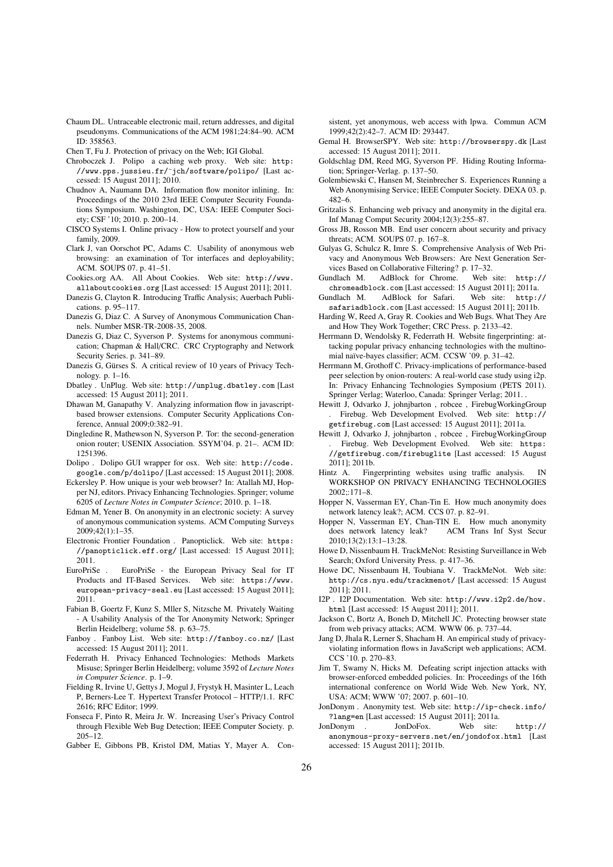- Chaum DL. Untraceable electronic mail, return addresses, and digital pseudonyms. Communications of the ACM 1981;24:84–90. ACM ID: 358563.
- Chen T, Fu J. Protection of privacy on the Web; IGI Global.
- Chroboczek J. Polipo a caching web proxy. Web site: http: //www.pps.jussieu.fr/∼jch/software/polipo/ [Last accessed: 15 August 2011]; 2010.
- Chudnov A, Naumann DA. Information flow monitor inlining. In: Proceedings of the 2010 23rd IEEE Computer Security Foundations Symposium. Washington, DC, USA: IEEE Computer Society; CSF '10; 2010. p. 200–14.
- CISCO Systems I. Online privacy How to protect yourself and your family, 2009.
- Clark J, van Oorschot PC, Adams C. Usability of anonymous web browsing: an examination of Tor interfaces and deployability; ACM. SOUPS 07. p. 41–51.
- Cookies.org AA. All About Cookies. Web site: http://www. allaboutcookies.org [Last accessed: 15 August 2011]; 2011. Danezis G, Clayton R. Introducing Traffic Analysis; Auerbach Publi-
- cations. p. 95–117. Danezis G, Diaz C. A Survey of Anonymous Communication Chan-
- nels. Number MSR-TR-2008-35, 2008.
- Danezis G, Diaz C, Syverson P. Systems for anonymous communication; Chapman & Hall/CRC. CRC Cryptography and Network Security Series. p. 341–89.
- Danezis G, Gürses S. A critical review of 10 years of Privacy Technology. p. 1–16.
- Dbatley . UnPlug. Web site: http://unplug.dbatley.com [Last accessed: 15 August 2011]; 2011.
- Dhawan M, Ganapathy V. Analyzing information flow in javascriptbased browser extensions. Computer Security Applications Conference, Annual 2009;0:382–91.
- Dingledine R, Mathewson N, Syverson P. Tor: the second-generation onion router; USENIX Association. SSYM'04. p. 21–. ACM ID: 1251396.
- Dolipo . Dolipo GUI wrapper for osx. Web site: http://code. google.com/p/dolipo/ [Last accessed: 15 August 2011]; 2008.
- Eckersley P. How unique is your web browser? In: Atallah MJ, Hopper NJ, editors. Privacy Enhancing Technologies. Springer; volume 6205 of *Lecture Notes in Computer Science*; 2010. p. 1–18.
- Edman M, Yener B. On anonymity in an electronic society: A survey of anonymous communication systems. ACM Computing Surveys 2009;42(1):1–35.
- Electronic Frontier Foundation . Panopticlick. Web site: https: //panopticlick.eff.org/ [Last accessed: 15 August 2011]; 2011.
- EuroPriSe . EuroPriSe the European Privacy Seal for IT Products and IT-Based Services. Web site: https://www. european-privacy-seal.eu [Last accessed: 15 August 2011]; 2011.
- Fabian B, Goertz F, Kunz S, Mller S, Nitzsche M. Privately Waiting - A Usability Analysis of the Tor Anonymity Network; Springer Berlin Heidelberg; volume 58. p. 63–75.
- Fanboy . Fanboy List. Web site: http://fanboy.co.nz/ [Last accessed: 15 August 2011]; 2011.
- Federrath H. Privacy Enhanced Technologies: Methods Markets Misuse; Springer Berlin Heidelberg; volume 3592 of *Lecture Notes in Computer Science*. p. 1–9.
- Fielding R, Irvine U, Gettys J, Mogul J, Frystyk H, Masinter L, Leach P, Berners-Lee T. Hypertext Transfer Protocol – HTTP/1.1. RFC 2616; RFC Editor; 1999.
- Fonseca F, Pinto R, Meira Jr. W. Increasing User's Privacy Control through Flexible Web Bug Detection; IEEE Computer Society. p. 205–12.
- Gabber E, Gibbons PB, Kristol DM, Matias Y, Mayer A. Con-

sistent, yet anonymous, web access with lpwa. Commun ACM 1999;42(2):42–7. ACM ID: 293447.

- Gemal H. BrowserSPY. Web site: http://browserspy.dk [Last accessed: 15 August 2011]; 2011.
- Goldschlag DM, Reed MG, Syverson PF. Hiding Routing Information; Springer-Verlag. p. 137–50.
- Golembiewski C, Hansen M, Steinbrecher S. Experiences Running a Web Anonymising Service; IEEE Computer Society. DEXA 03. p. 482–6.
- Gritzalis S. Enhancing web privacy and anonymity in the digital era. Inf Manag Comput Security 2004;12(3):255–87.
- Gross JB, Rosson MB. End user concern about security and privacy threats; ACM. SOUPS 07. p. 167–8.
- Gulyas G, Schulcz R, Imre S. Comprehensive Analysis of Web Privacy and Anonymous Web Browsers: Are Next Generation Services Based on Collaborative Filtering? p. 17–32.<br>ndlach M. AdBlock for Chrome. Web site: http://
- Gundlach M. AdBlock for Chrome. chromeadblock.com [Last accessed: 15 August 2011]; 2011a.
- AdBlock for Safari. safariadblock.com [Last accessed: 15 August 2011]; 2011b.
- Harding W, Reed A, Gray R. Cookies and Web Bugs. What They Are and How They Work Together; CRC Press. p. 2133–42.
- Herrmann D, Wendolsky R, Federrath H. Website fingerprinting: attacking popular privacy enhancing technologies with the multinomial naïve-bayes classifier; ACM. CCSW '09. p. 31-42.
- Herrmann M, Grothoff C. Privacy-implications of performance-based peer selection by onion-routers: A real-world case study using i2p. In: Privacy Enhancing Technologies Symposium (PETS 2011). Springer Verlag; Waterloo, Canada: Springer Verlag; 2011. .
- Hewitt J, Odvarko J, johnjbarton , robcee , FirebugWorkingGroup . Firebug. Web Development Evolved. Web site: http:// getfirebug.com [Last accessed: 15 August 2011]; 2011a.
- Hewitt J, Odvarko J, johnjbarton , robcee , FirebugWorkingGroup Firebug. Web Development Evolved. Web site: https: //getfirebug.com/firebuglite [Last accessed: 15 August 2011]; 2011b.
- Hintz A. Fingerprinting websites using traffic analysis. IN WORKSHOP ON PRIVACY ENHANCING TECHNOLOGIES  $2002::171-8$ .
- Hopper N, Vasserman EY, Chan-Tin E. How much anonymity does network latency leak?; ACM. CCS 07. p. 82–91.
- Hopper N, Vasserman EY, Chan-TIN E. How much anonymity does network latency leak? ACM Trans Inf Syst Secur 2010;13(2):13:1–13:28.
- Howe D, Nissenbaum H. TrackMeNot: Resisting Surveillance in Web Search; Oxford University Press. p. 417–36.
- Howe DC, Nissenbaum H, Toubiana V. TrackMeNot. Web site: http://cs.nyu.edu/trackmenot/ [Last accessed: 15 August 2011]; 2011.
- I2P . I2P Documentation. Web site: http://www.i2p2.de/how. html [Last accessed: 15 August 2011]; 2011.
- Jackson C, Bortz A, Boneh D, Mitchell JC. Protecting browser state from web privacy attacks; ACM. WWW 06. p. 737–44.
- Jang D, Jhala R, Lerner S, Shacham H. An empirical study of privacyviolating information flows in JavaScript web applications; ACM. CCS '10. p. 270–83.
- Jim T, Swamy N, Hicks M. Defeating script injection attacks with browser-enforced embedded policies. In: Proceedings of the 16th international conference on World Wide Web. New York, NY, USA: ACM; WWW '07; 2007. p. 601–10.
- JonDonym . Anonymity test. Web site: http://ip-check.info/ ?lang=en [Last accessed: 15 August 2011]; 2011a.
- JonDonym . JonDoFox. Web site: http:// anonymous-proxy-servers.net/en/jondofox.html [Last accessed: 15 August 2011]; 2011b.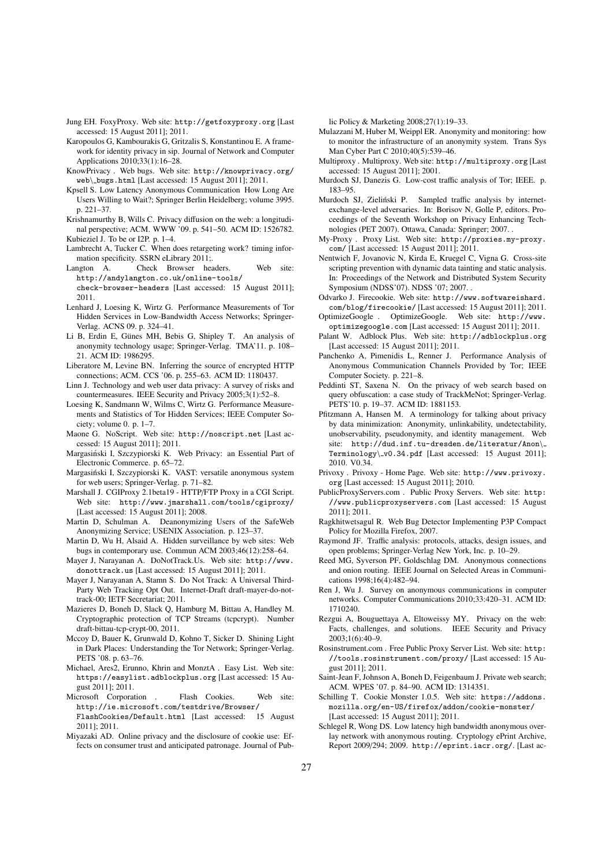- Jung EH. FoxyProxy. Web site: http://getfoxyproxy.org [Last accessed: 15 August 2011]; 2011.
- Karopoulos G, Kambourakis G, Gritzalis S, Konstantinou E. A framework for identity privacy in sip. Journal of Network and Computer Applications 2010;33(1):16–28.
- KnowPrivacy . Web bugs. Web site: http://knowprivacy.org/ web\\_bugs.html [Last accessed: 15 August 2011]; 2011.
- Kpsell S. Low Latency Anonymous Communication How Long Are Users Willing to Wait?; Springer Berlin Heidelberg; volume 3995. p. 221–37.
- Krishnamurthy B, Wills C. Privacy diffusion on the web: a longitudinal perspective; ACM. WWW '09. p. 541–50. ACM ID: 1526782. Kubieziel J. To be or I2P. p. 1–4.
- Lambrecht A, Tucker C. When does retargeting work? timing information specificity. SSRN eLibrary 2011;.
- Langton A. Check Browser headers. Web site: http://andylangton.co.uk/online-tools/
- check-browser-headers [Last accessed: 15 August 2011]; 2011.
- Lenhard J, Loesing K, Wirtz G. Performance Measurements of Tor Hidden Services in Low-Bandwidth Access Networks; Springer-Verlag. ACNS 09. p. 324–41.
- Li B, Erdin E, Günes MH, Bebis G, Shipley T. An analysis of anonymity technology usage; Springer-Verlag. TMA'11. p. 108– 21. ACM ID: 1986295.
- Liberatore M, Levine BN. Inferring the source of encrypted HTTP connections; ACM. CCS '06. p. 255–63. ACM ID: 1180437.
- Linn J. Technology and web user data privacy: A survey of risks and countermeasures. IEEE Security and Privacy 2005;3(1):52–8.
- Loesing K, Sandmann W, Wilms C, Wirtz G. Performance Measurements and Statistics of Tor Hidden Services; IEEE Computer Society; volume 0. p. 1–7.
- Maone G. NoScript. Web site: http://noscript.net [Last accessed: 15 August 2011]; 2011.
- Margasinski I, Szczypiorski K. Web Privacy: an Essential Part of ´ Electronic Commerce. p. 65–72.
- Margasinski I, Szczypiorski K. VAST: versatile anonymous system ´ for web users; Springer-Verlag. p. 71–82.
- Marshall J. CGIProxy 2.1beta19 HTTP/FTP Proxy in a CGI Script. Web site: http://www.jmarshall.com/tools/cgiproxy/ [Last accessed: 15 August 2011]; 2008.
- Martin D, Schulman A. Deanonymizing Users of the SafeWeb Anonymizing Service; USENIX Association. p. 123–37.
- Martin D, Wu H, Alsaid A. Hidden surveillance by web sites: Web bugs in contemporary use. Commun ACM 2003;46(12):258–64.
- Mayer J, Narayanan A. DoNotTrack.Us. Web site: http://www. donottrack.us [Last accessed: 15 August 2011]; 2011.
- Mayer J, Narayanan A, Stamn S. Do Not Track: A Universal Third-Party Web Tracking Opt Out. Internet-Draft draft-mayer-do-nottrack-00; IETF Secretariat; 2011.
- Mazieres D, Boneh D, Slack Q, Hamburg M, Bittau A, Handley M. Cryptographic protection of TCP Streams (tcpcrypt). Number draft-bittau-tcp-crypt-00, 2011.
- Mccoy D, Bauer K, Grunwald D, Kohno T, Sicker D. Shining Light in Dark Places: Understanding the Tor Network; Springer-Verlag. PETS '08. p. 63–76.
- Michael, Ares2, Erunno, Khrin and MonztA . Easy List. Web site: https://easylist.adblockplus.org [Last accessed: 15 August 2011]; 2011.
- Microsoft Corporation . Flash Cookies. Web site: http://ie.microsoft.com/testdrive/Browser/
- FlashCookies/Default.html [Last accessed: 15 August 2011]; 2011.
- Miyazaki AD. Online privacy and the disclosure of cookie use: Effects on consumer trust and anticipated patronage. Journal of Pub-

lic Policy & Marketing 2008;27(1):19–33.

- Mulazzani M, Huber M, Weippl ER. Anonymity and monitoring: how to monitor the infrastructure of an anonymity system. Trans Sys Man Cyber Part C 2010;40(5):539–46.
- Multiproxy . Multiproxy. Web site: http://multiproxy.org [Last accessed: 15 August 2011]; 2001.
- Murdoch SJ, Danezis G. Low-cost traffic analysis of Tor; IEEE. p. 183–95.
- Murdoch SJ, Zieliński P. Sampled traffic analysis by internetexchange-level adversaries. In: Borisov N, Golle P, editors. Proceedings of the Seventh Workshop on Privacy Enhancing Technologies (PET 2007). Ottawa, Canada: Springer; 2007. .
- My-Proxy . Proxy List. Web site: http://proxies.my-proxy. com/ [Last accessed: 15 August 2011]; 2011.
- Nentwich F, Jovanovic N, Kirda E, Kruegel C, Vigna G. Cross-site scripting prevention with dynamic data tainting and static analysis. In: Proceedings of the Network and Distributed System Security Symposium (NDSS'07). NDSS '07; 2007. .
- Odvarko J. Firecookie. Web site: http://www.softwareishard. com/blog/firecookie/ [Last accessed: 15 August 2011]; 2011.
- OptimizeGoogle . OptimizeGoogle. Web site: http://www. optimizegoogle.com [Last accessed: 15 August 2011]; 2011.
- Palant W. Adblock Plus. Web site: http://adblockplus.org [Last accessed: 15 August 2011]; 2011.
- Panchenko A, Pimenidis L, Renner J. Performance Analysis of Anonymous Communication Channels Provided by Tor; IEEE Computer Society. p. 221–8.
- Peddinti ST, Saxena N. On the privacy of web search based on query obfuscation: a case study of TrackMeNot; Springer-Verlag. PETS'10. p. 19–37. ACM ID: 1881153.
- Pfitzmann A, Hansen M. A terminology for talking about privacy by data minimization: Anonymity, unlinkability, undetectability, unobservability, pseudonymity, and identity management. Web site: http://dud.inf.tu-dresden.de/literatur/Anon\ Terminology\\_v0.34.pdf [Last accessed: 15 August 2011]; 2010. V0.34.
- Privoxy . Privoxy Home Page. Web site: http://www.privoxy. org [Last accessed: 15 August 2011]; 2010.
- PublicProxyServers.com . Public Proxy Servers. Web site: http: //www.publicproxyservers.com [Last accessed: 15 August 2011]; 2011.
- Ragkhitwetsagul R. Web Bug Detector Implementing P3P Compact Policy for Mozilla Firefox, 2007.
- Raymond JF. Traffic analysis: protocols, attacks, design issues, and open problems; Springer-Verlag New York, Inc. p. 10–29.
- Reed MG, Syverson PF, Goldschlag DM. Anonymous connections and onion routing. IEEE Journal on Selected Areas in Communications 1998;16(4):482–94.
- Ren J, Wu J. Survey on anonymous communications in computer networks. Computer Communications 2010;33:420–31. ACM ID: 1710240.
- Rezgui A, Bouguettaya A, Eltoweissy MY. Privacy on the web: Facts, challenges, and solutions. IEEE Security and Privacy 2003;1(6):40–9.
- Rosinstrument.com . Free Public Proxy Server List. Web site: http: //tools.rosinstrument.com/proxy/ [Last accessed: 15 August 2011]; 2011.
- Saint-Jean F, Johnson A, Boneh D, Feigenbaum J. Private web search; ACM. WPES '07. p. 84–90. ACM ID: 1314351.
- Schilling T. Cookie Monster 1.0.5. Web site: https://addons. mozilla.org/en-US/firefox/addon/cookie-monster/ [Last accessed: 15 August 2011]; 2011.
- Schlegel R, Wong DS. Low latency high bandwidth anonymous overlay network with anonymous routing. Cryptology ePrint Archive, Report 2009/294; 2009. http://eprint.iacr.org/. [Last ac-